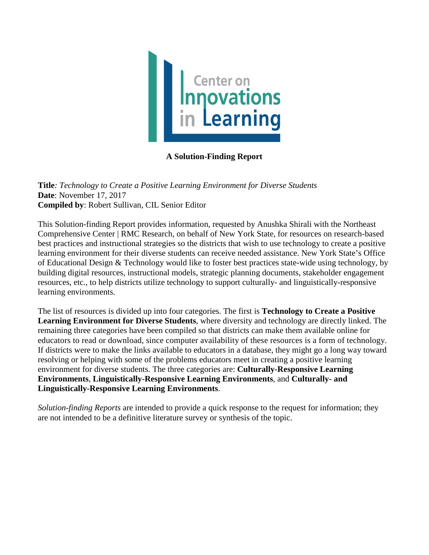

# **A Solution-Finding Report**

**Title***: Technology to Create a Positive Learning Environment for Diverse Students* **Date**: November 17, 2017 **Compiled by**: Robert Sullivan, CIL Senior Editor

This Solution-finding Report provides information, requested by Anushka Shirali with the Northeast Comprehensive Center | RMC Research, on behalf of New York State, for resources on research-based best practices and instructional strategies so the districts that wish to use technology to create a positive learning environment for their diverse students can receive needed assistance. New York State's Office of Educational Design & Technology would like to foster best practices state-wide using technology, by building digital resources, instructional models, strategic planning documents, stakeholder engagement resources, etc., to help districts utilize technology to support culturally- and linguistically-responsive learning environments.

The list of resources is divided up into four categories. The first is **Technology to Create a Positive Learning Environment for Diverse Students**, where diversity and technology are directly linked. The remaining three categories have been compiled so that districts can make them available online for educators to read or download, since computer availability of these resources is a form of technology. If districts were to make the links available to educators in a database, they might go a long way toward resolving or helping with some of the problems educators meet in creating a positive learning environment for diverse students. The three categories are: **Culturally-Responsive Learning Environments**, **Linguistically-Responsive Learning Environments**, and **Culturally- and Linguistically-Responsive Learning Environments**.

*Solution-finding Reports* are intended to provide a quick response to the request for information; they are not intended to be a definitive literature survey or synthesis of the topic.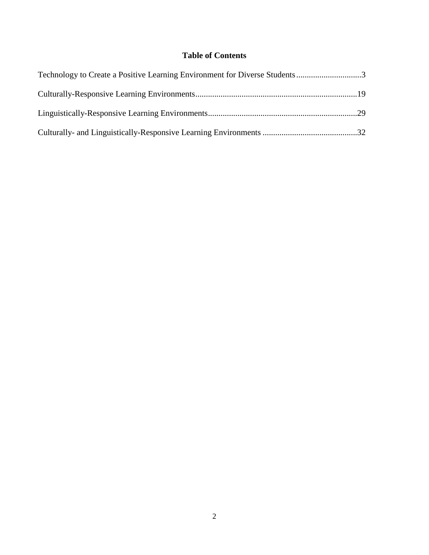# **Table of Contents**

| Technology to Create a Positive Learning Environment for Diverse Students3 |  |
|----------------------------------------------------------------------------|--|
|                                                                            |  |
|                                                                            |  |
|                                                                            |  |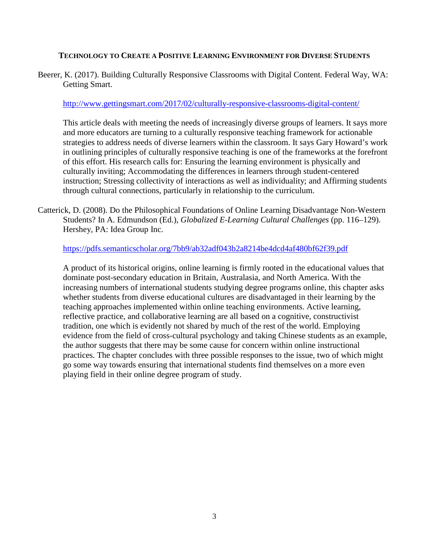## **TECHNOLOGY TO CREATE A POSITIVE LEARNING ENVIRONMENT FOR DIVERSE STUDENTS**

Beerer, K. (2017). Building Culturally Responsive Classrooms with Digital Content. Federal Way, WA: Getting Smart.

#### <http://www.gettingsmart.com/2017/02/culturally-responsive-classrooms-digital-content/>

This article deals with meeting the needs of increasingly diverse groups of learners. It says more and more educators are turning to a culturally responsive teaching framework for actionable strategies to address needs of diverse learners within the classroom. It says Gary Howard's work in outlining principles of culturally responsive teaching is one of the frameworks at the forefront of this effort. His research calls for: Ensuring the learning environment is physically and culturally inviting; Accommodating the differences in learners through student-centered instruction; Stressing collectivity of interactions as well as individuality; and Affirming students through cultural connections, particularly in relationship to the curriculum.

Catterick, D. (2008). Do the Philosophical Foundations of Online Learning Disadvantage Non-Western Students? In A. Edmundson (Ed.), *Globalized E-Learning Cultural Challenges* (pp. 116–129). Hershey, PA: Idea Group Inc.

<https://pdfs.semanticscholar.org/7bb9/ab32adf043b2a8214be4dcd4af480bf62f39.pdf>

A product of its historical origins, online learning is firmly rooted in the educational values that dominate post-secondary education in Britain, Australasia, and North America. With the increasing numbers of international students studying degree programs online, this chapter asks whether students from diverse educational cultures are disadvantaged in their learning by the teaching approaches implemented within online teaching environments. Active learning, reflective practice, and collaborative learning are all based on a cognitive, constructivist tradition, one which is evidently not shared by much of the rest of the world. Employing evidence from the field of cross-cultural psychology and taking Chinese students as an example, the author suggests that there may be some cause for concern within online instructional practices. The chapter concludes with three possible responses to the issue, two of which might go some way towards ensuring that international students find themselves on a more even playing field in their online degree program of study.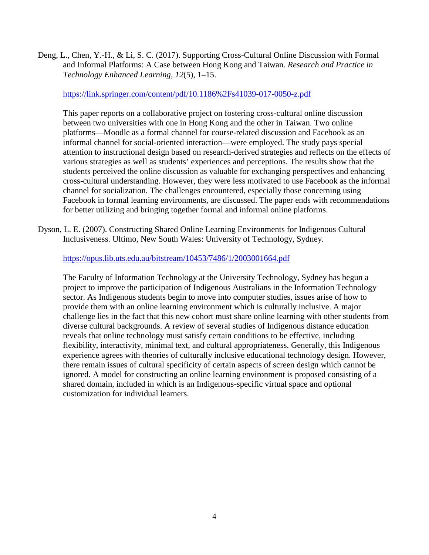Deng, L., Chen, Y.-H., & Li, S. C. (2017). Supporting Cross-Cultural Online Discussion with Formal and Informal Platforms: A Case between Hong Kong and Taiwan. *Research and Practice in Technology Enhanced Learning*, *12*(5), 1–15.

#### <https://link.springer.com/content/pdf/10.1186%2Fs41039-017-0050-z.pdf>

This paper reports on a collaborative project on fostering cross-cultural online discussion between two universities with one in Hong Kong and the other in Taiwan. Two online platforms—Moodle as a formal channel for course-related discussion and Facebook as an informal channel for social-oriented interaction—were employed. The study pays special attention to instructional design based on research-derived strategies and reflects on the effects of various strategies as well as students' experiences and perceptions. The results show that the students perceived the online discussion as valuable for exchanging perspectives and enhancing cross-cultural understanding. However, they were less motivated to use Facebook as the informal channel for socialization. The challenges encountered, especially those concerning using Facebook in formal learning environments, are discussed. The paper ends with recommendations for better utilizing and bringing together formal and informal online platforms.

Dyson, L. E. (2007). Constructing Shared Online Learning Environments for Indigenous Cultural Inclusiveness. Ultimo, New South Wales: University of Technology, Sydney.

#### <https://opus.lib.uts.edu.au/bitstream/10453/7486/1/2003001664.pdf>

The Faculty of Information Technology at the University Technology, Sydney has begun a project to improve the participation of Indigenous Australians in the Information Technology sector. As Indigenous students begin to move into computer studies, issues arise of how to provide them with an online learning environment which is culturally inclusive. A major challenge lies in the fact that this new cohort must share online learning with other students from diverse cultural backgrounds. A review of several studies of Indigenous distance education reveals that online technology must satisfy certain conditions to be effective, including flexibility, interactivity, minimal text, and cultural appropriateness. Generally, this Indigenous experience agrees with theories of culturally inclusive educational technology design. However, there remain issues of cultural specificity of certain aspects of screen design which cannot be ignored. A model for constructing an online learning environment is proposed consisting of a shared domain, included in which is an Indigenous-specific virtual space and optional customization for individual learners.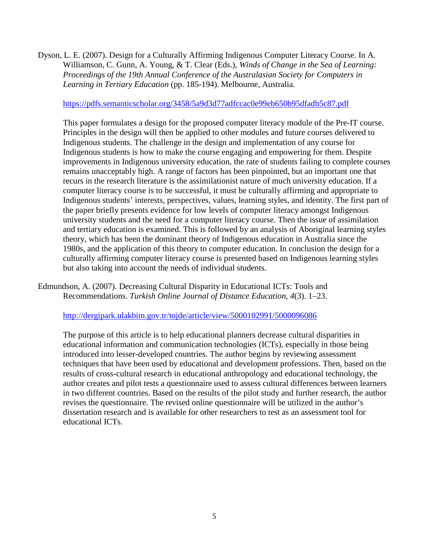Dyson, L. E. (2007). Design for a Culturally Affirming Indigenous Computer Literacy Course. In A. Williamson, C. Gunn, A. Young, & T. Clear (Eds.), *Winds of Change in the Sea of Learning: Proceedings of the 19th Annual Conference of the Australasian Society for Computers in Learning in Tertiary Education* (pp. 185-194). Melbourne, Australia.

#### <https://pdfs.semanticscholar.org/3458/5a9d3d77adfccac0e99eb650b95dfadb5c87.pdf>

This paper formulates a design for the proposed computer literacy module of the Pre-IT course. Principles in the design will then be applied to other modules and future courses delivered to Indigenous students. The challenge in the design and implementation of any course for Indigenous students is how to make the course engaging and empowering for them. Despite improvements in Indigenous university education, the rate of students failing to complete courses remains unacceptably high. A range of factors has been pinpointed, but an important one that recurs in the research literature is the assimilationist nature of much university education. If a computer literacy course is to be successful, it must be culturally affirming and appropriate to Indigenous students' interests, perspectives, values, learning styles, and identity. The first part of the paper briefly presents evidence for low levels of computer literacy amongst Indigenous university students and the need for a computer literacy course. Then the issue of assimilation and tertiary education is examined. This is followed by an analysis of Aboriginal learning styles theory, which has been the dominant theory of Indigenous education in Australia since the 1980s, and the application of this theory to computer education. In conclusion the design for a culturally affirming computer literacy course is presented based on Indigenous learning styles but also taking into account the needs of individual students.

# Edmundson, A. (2007). Decreasing Cultural Disparity in Educational ICTs: Tools and Recommendations. *Turkish Online Journal of Distance Education*, *4*(3). 1–23.

#### <http://dergipark.ulakbim.gov.tr/tojde/article/view/5000102991/5000096086>

The purpose of this article is to help educational planners decrease cultural disparities in educational information and communication technologies (ICTs), especially in those being introduced into lesser-developed countries. The author begins by reviewing assessment techniques that have been used by educational and development professions. Then, based on the results of cross-cultural research in educational anthropology and educational technology, the author creates and pilot tests a questionnaire used to assess cultural differences between learners in two different countries. Based on the results of the pilot study and further research, the author revises the questionnaire. The revised online questionnaire will be utilized in the author's dissertation research and is available for other researchers to test as an assessment tool for educational ICTs.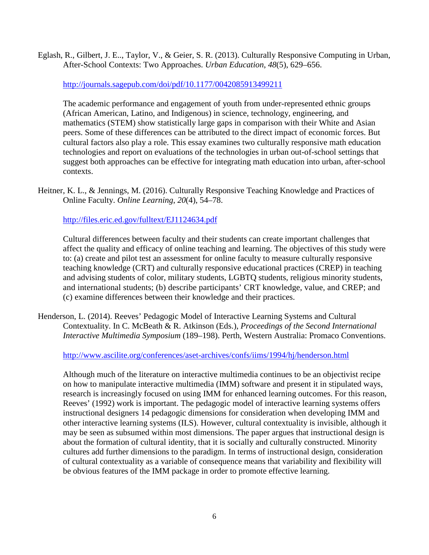Eglash, R., Gilbert, J. E.., Taylor, V., & Geier, S. R. (2013). Culturally Responsive Computing in Urban, After-School Contexts: Two Approaches. *Urban Education*, *48*(5), 629–656.

<http://journals.sagepub.com/doi/pdf/10.1177/0042085913499211>

The academic performance and engagement of youth from under-represented ethnic groups (African American, Latino, and Indigenous) in science, technology, engineering, and mathematics (STEM) show statistically large gaps in comparison with their White and Asian peers. Some of these differences can be attributed to the direct impact of economic forces. But cultural factors also play a role. This essay examines two culturally responsive math education technologies and report on evaluations of the technologies in urban out-of-school settings that suggest both approaches can be effective for integrating math education into urban, after-school contexts.

Heitner, K. L., & Jennings, M. (2016). Culturally Responsive Teaching Knowledge and Practices of Online Faculty. *Online Learning*, *20*(4), 54–78.

<http://files.eric.ed.gov/fulltext/EJ1124634.pdf>

Cultural differences between faculty and their students can create important challenges that affect the quality and efficacy of online teaching and learning. The objectives of this study were to: (a) create and pilot test an assessment for online faculty to measure culturally responsive teaching knowledge (CRT) and culturally responsive educational practices (CREP) in teaching and advising students of color, military students, LGBTQ students, religious minority students, and international students; (b) describe participants' CRT knowledge, value, and CREP; and (c) examine differences between their knowledge and their practices.

Henderson, L. (2014). Reeves' Pedagogic Model of Interactive Learning Systems and Cultural Contextuality. In C. McBeath & R. Atkinson (Eds.), *Proceedings of the Second International Interactive Multimedia Symposium* (189–198). Perth, Western Australia: Promaco Conventions.

<http://www.ascilite.org/conferences/aset-archives/confs/iims/1994/hj/henderson.html>

Although much of the literature on interactive multimedia continues to be an objectivist recipe on how to manipulate interactive multimedia (IMM) software and present it in stipulated ways, research is increasingly focused on using IMM for enhanced learning outcomes. For this reason, Reeves' (1992) work is important. The pedagogic model of interactive learning systems offers instructional designers 14 pedagogic dimensions for consideration when developing IMM and other interactive learning systems (ILS). However, cultural contextuality is invisible, although it may be seen as subsumed within most dimensions. The paper argues that instructional design is about the formation of cultural identity, that it is socially and culturally constructed. Minority cultures add further dimensions to the paradigm. In terms of instructional design, consideration of cultural contextuality as a variable of consequence means that variability and flexibility will be obvious features of the IMM package in order to promote effective learning.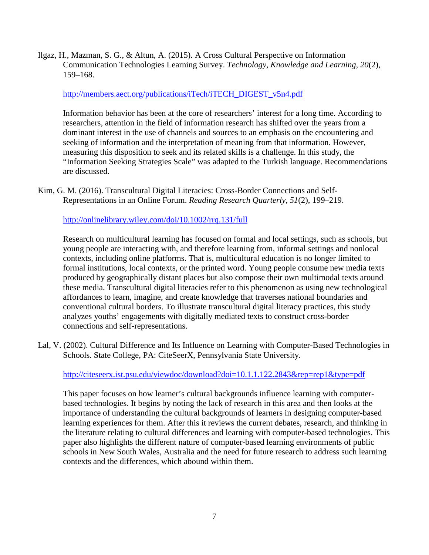Ilgaz, H., Mazman, S. G., & Altun, A. (2015). A Cross Cultural Perspective on Information Communication Technologies Learning Survey. *Technology, Knowledge and Learning*, *20*(2), 159–168.

### [http://members.aect.org/publications/iTech/iTECH\\_DIGEST\\_v5n4.pdf](http://members.aect.org/publications/iTech/iTECH_DIGEST_v5n4.pdf)

Information behavior has been at the core of researchers' interest for a long time. According to researchers, attention in the field of information research has shifted over the years from a dominant interest in the use of channels and sources to an emphasis on the encountering and seeking of information and the interpretation of meaning from that information. However, measuring this disposition to seek and its related skills is a challenge. In this study, the "Information Seeking Strategies Scale" was adapted to the Turkish language. Recommendations are discussed.

Kim, G. M. (2016). Transcultural Digital Literacies: Cross-Border Connections and Self-Representations in an Online Forum. *Reading Research Quarterly*, *51*(2), 199–219.

# <http://onlinelibrary.wiley.com/doi/10.1002/rrq.131/full>

Research on multicultural learning has focused on formal and local settings, such as schools, but young people are interacting with, and therefore learning from, informal settings and nonlocal contexts, including online platforms. That is, multicultural education is no longer limited to formal institutions, local contexts, or the printed word. Young people consume new media texts produced by geographically distant places but also compose their own multimodal texts around these media. Transcultural digital literacies refer to this phenomenon as using new technological affordances to learn, imagine, and create knowledge that traverses national boundaries and conventional cultural borders. To illustrate transcultural digital literacy practices, this study analyzes youths' engagements with digitally mediated texts to construct cross-border connections and self-representations.

Lal, V. (2002). Cultural Difference and Its Influence on Learning with Computer-Based Technologies in Schools. State College, PA: CiteSeerX, Pennsylvania State University.

### <http://citeseerx.ist.psu.edu/viewdoc/download?doi=10.1.1.122.2843&rep=rep1&type=pdf>

This paper focuses on how learner's cultural backgrounds influence learning with computerbased technologies. It begins by noting the lack of research in this area and then looks at the importance of understanding the cultural backgrounds of learners in designing computer-based learning experiences for them. After this it reviews the current debates, research, and thinking in the literature relating to cultural differences and learning with computer-based technologies. This paper also highlights the different nature of computer-based learning environments of public schools in New South Wales, Australia and the need for future research to address such learning contexts and the differences, which abound within them.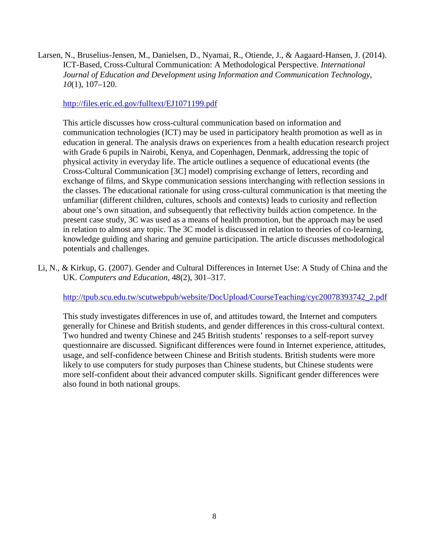Larsen, N., Bruselius-Jensen, M., Danielsen, D., Nyamai, R., Otiende, J., & Aagaard-Hansen, J. (2014). ICT-Based, Cross-Cultural Communication: A Methodological Perspective. *International Journal of Education and Development using Information and Communication Technology*, *10*(1), 107–120.

#### <http://files.eric.ed.gov/fulltext/EJ1071199.pdf>

This article discusses how cross-cultural communication based on information and communication technologies (ICT) may be used in participatory health promotion as well as in education in general. The analysis draws on experiences from a health education research project with Grade 6 pupils in Nairobi, Kenya, and Copenhagen, Denmark, addressing the topic of physical activity in everyday life. The article outlines a sequence of educational events (the Cross-Cultural Communication [3C] model) comprising exchange of letters, recording and exchange of films, and Skype communication sessions interchanging with reflection sessions in the classes. The educational rationale for using cross-cultural communication is that meeting the unfamiliar (different children, cultures, schools and contexts) leads to curiosity and reflection about one's own situation, and subsequently that reflectivity builds action competence. In the present case study, 3C was used as a means of health promotion, but the approach may be used in relation to almost any topic. The 3C model is discussed in relation to theories of co-learning, knowledge guiding and sharing and genuine participation. The article discusses methodological potentials and challenges.

Li, N., & Kirkup, G. (2007). Gender and Cultural Differences in Internet Use: A Study of China and the UK. *Computers and Education*, 48(2), 301–317.

[http://tpub.scu.edu.tw/scutwebpub/website/DocUpload/CourseTeaching/cyc20078393742\\_2.pdf](http://tpub.scu.edu.tw/scutwebpub/website/DocUpload/CourseTeaching/cyc20078393742_2.pdf)

This study investigates differences in use of, and attitudes toward, the Internet and computers generally for Chinese and British students, and gender differences in this cross-cultural context. Two hundred and twenty Chinese and 245 British students' responses to a self-report survey questionnaire are discussed. Significant differences were found in Internet experience, attitudes, usage, and self-confidence between Chinese and British students. British students were more likely to use computers for study purposes than Chinese students, but Chinese students were more self-confident about their advanced computer skills. Significant gender differences were also found in both national groups.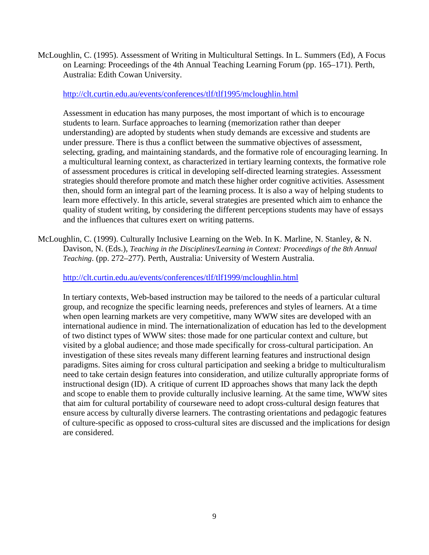McLoughlin, C. (1995). Assessment of Writing in Multicultural Settings. In L. Summers (Ed), A Focus on Learning: Proceedings of the 4th Annual Teaching Learning Forum (pp. 165–171). Perth, Australia: Edith Cowan University.

#### <http://clt.curtin.edu.au/events/conferences/tlf/tlf1995/mcloughlin.html>

Assessment in education has many purposes, the most important of which is to encourage students to learn. Surface approaches to learning (memorization rather than deeper understanding) are adopted by students when study demands are excessive and students are under pressure. There is thus a conflict between the summative objectives of assessment, selecting, grading, and maintaining standards, and the formative role of encouraging learning. In a multicultural learning context, as characterized in tertiary learning contexts, the formative role of assessment procedures is critical in developing self-directed learning strategies. Assessment strategies should therefore promote and match these higher order cognitive activities. Assessment then, should form an integral part of the learning process. It is also a way of helping students to learn more effectively. In this article, several strategies are presented which aim to enhance the quality of student writing, by considering the different perceptions students may have of essays and the influences that cultures exert on writing patterns.

McLoughlin, C. (1999). Culturally Inclusive Learning on the Web. In K. Marline, N. Stanley, & N. Davison, N. (Eds.), *Teaching in the Disciplines/Learning in Context: Proceedings of the 8th Annual Teaching*. (pp. 272–277). Perth, Australia: University of Western Australia.

### <http://clt.curtin.edu.au/events/conferences/tlf/tlf1999/mcloughlin.html>

In tertiary contexts, Web-based instruction may be tailored to the needs of a particular cultural group, and recognize the specific learning needs, preferences and styles of learners. At a time when open learning markets are very competitive, many WWW sites are developed with an international audience in mind. The internationalization of education has led to the development of two distinct types of WWW sites: those made for one particular context and culture, but visited by a global audience; and those made specifically for cross-cultural participation. An investigation of these sites reveals many different learning features and instructional design paradigms. Sites aiming for cross cultural participation and seeking a bridge to multiculturalism need to take certain design features into consideration, and utilize culturally appropriate forms of instructional design (ID). A critique of current ID approaches shows that many lack the depth and scope to enable them to provide culturally inclusive learning. At the same time, WWW sites that aim for cultural portability of courseware need to adopt cross-cultural design features that ensure access by culturally diverse learners. The contrasting orientations and pedagogic features of culture-specific as opposed to cross-cultural sites are discussed and the implications for design are considered.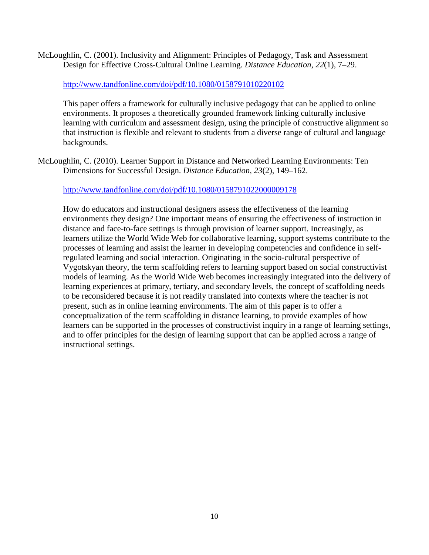McLoughlin, C. (2001). Inclusivity and Alignment: Principles of Pedagogy, Task and Assessment Design for Effective Cross-Cultural Online Learning. *Distance Education*, *22*(1), 7–29.

## <http://www.tandfonline.com/doi/pdf/10.1080/0158791010220102>

This paper offers a framework for culturally inclusive pedagogy that can be applied to online environments. It proposes a theoretically grounded framework linking culturally inclusive learning with curriculum and assessment design, using the principle of constructive alignment so that instruction is flexible and relevant to students from a diverse range of cultural and language backgrounds.

McLoughlin, C. (2010). Learner Support in Distance and Networked Learning Environments: Ten Dimensions for Successful Design. *Distance Education*, *23*(2), 149–162.

<http://www.tandfonline.com/doi/pdf/10.1080/0158791022000009178>

How do educators and instructional designers assess the effectiveness of the learning environments they design? One important means of ensuring the effectiveness of instruction in distance and face-to-face settings is through provision of learner support. Increasingly, as learners utilize the World Wide Web for collaborative learning, support systems contribute to the processes of learning and assist the learner in developing competencies and confidence in selfregulated learning and social interaction. Originating in the socio-cultural perspective of Vygotskyan theory, the term scaffolding refers to learning support based on social constructivist models of learning. As the World Wide Web becomes increasingly integrated into the delivery of learning experiences at primary, tertiary, and secondary levels, the concept of scaffolding needs to be reconsidered because it is not readily translated into contexts where the teacher is not present, such as in online learning environments. The aim of this paper is to offer a conceptualization of the term scaffolding in distance learning, to provide examples of how learners can be supported in the processes of constructivist inquiry in a range of learning settings, and to offer principles for the design of learning support that can be applied across a range of instructional settings.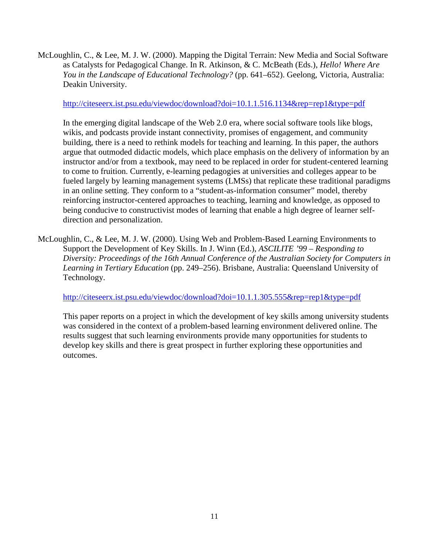McLoughlin, C., & Lee, M. J. W. (2000). Mapping the Digital Terrain: New Media and Social Software as Catalysts for Pedagogical Change. In R. Atkinson, & C. McBeath (Eds.), *Hello! Where Are You in the Landscape of Educational Technology?* (pp. 641–652). Geelong, Victoria, Australia: Deakin University.

### <http://citeseerx.ist.psu.edu/viewdoc/download?doi=10.1.1.516.1134&rep=rep1&type=pdf>

In the emerging digital landscape of the Web 2.0 era, where social software tools like blogs, wikis, and podcasts provide instant connectivity, promises of engagement, and community building, there is a need to rethink models for teaching and learning. In this paper, the authors argue that outmoded didactic models, which place emphasis on the delivery of information by an instructor and/or from a textbook, may need to be replaced in order for student-centered learning to come to fruition. Currently, e-learning pedagogies at universities and colleges appear to be fueled largely by learning management systems (LMSs) that replicate these traditional paradigms in an online setting. They conform to a "student-as-information consumer" model, thereby reinforcing instructor-centered approaches to teaching, learning and knowledge, as opposed to being conducive to constructivist modes of learning that enable a high degree of learner selfdirection and personalization.

McLoughlin, C., & Lee, M. J. W. (2000). Using Web and Problem-Based Learning Environments to Support the Development of Key Skills. In J. Winn (Ed.), *ASCILITE '99 – Responding to Diversity: Proceedings of the 16th Annual Conference of the Australian Society for Computers in Learning in Tertiary Education* (pp. 249–256). Brisbane, Australia: Queensland University of Technology.

<http://citeseerx.ist.psu.edu/viewdoc/download?doi=10.1.1.305.555&rep=rep1&type=pdf>

This paper reports on a project in which the development of key skills among university students was considered in the context of a problem-based learning environment delivered online. The results suggest that such learning environments provide many opportunities for students to develop key skills and there is great prospect in further exploring these opportunities and outcomes.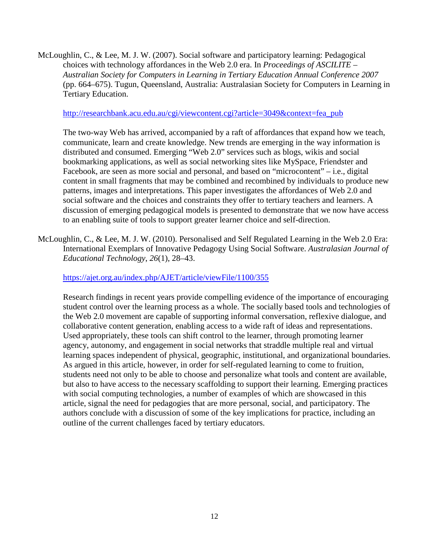McLoughlin, C., & Lee, M. J. W. (2007). Social software and participatory learning: Pedagogical choices with technology affordances in the Web 2.0 era. In *Proceedings of ASCILITE – Australian Society for Computers in Learning in Tertiary Education Annual Conference 2007* (pp. 664–675). Tugun, Queensland, Australia: Australasian Society for Computers in Learning in Tertiary Education.

[http://researchbank.acu.edu.au/cgi/viewcontent.cgi?article=3049&context=fea\\_pub](http://researchbank.acu.edu.au/cgi/viewcontent.cgi?article=3049&context=fea_pub)

The two-way Web has arrived, accompanied by a raft of affordances that expand how we teach, communicate, learn and create knowledge. New trends are emerging in the way information is distributed and consumed. Emerging "Web 2.0" services such as blogs, wikis and social bookmarking applications, as well as social networking sites like MySpace, Friendster and Facebook, are seen as more social and personal, and based on "microcontent" – i.e., digital content in small fragments that may be combined and recombined by individuals to produce new patterns, images and interpretations. This paper investigates the affordances of Web 2.0 and social software and the choices and constraints they offer to tertiary teachers and learners. A discussion of emerging pedagogical models is presented to demonstrate that we now have access to an enabling suite of tools to support greater learner choice and self-direction.

McLoughlin, C., & Lee, M. J. W. (2010). Personalised and Self Regulated Learning in the Web 2.0 Era: International Exemplars of Innovative Pedagogy Using Social Software. *Australasian Journal of Educational Technology*, *26*(1), 28–43.

<https://ajet.org.au/index.php/AJET/article/viewFile/1100/355>

Research findings in recent years provide compelling evidence of the importance of encouraging student control over the learning process as a whole. The socially based tools and technologies of the Web 2.0 movement are capable of supporting informal conversation, reflexive dialogue, and collaborative content generation, enabling access to a wide raft of ideas and representations. Used appropriately, these tools can shift control to the learner, through promoting learner agency, autonomy, and engagement in social networks that straddle multiple real and virtual learning spaces independent of physical, geographic, institutional, and organizational boundaries. As argued in this article, however, in order for self-regulated learning to come to fruition, students need not only to be able to choose and personalize what tools and content are available, but also to have access to the necessary scaffolding to support their learning. Emerging practices with social computing technologies, a number of examples of which are showcased in this article, signal the need for pedagogies that are more personal, social, and participatory. The authors conclude with a discussion of some of the key implications for practice, including an outline of the current challenges faced by tertiary educators.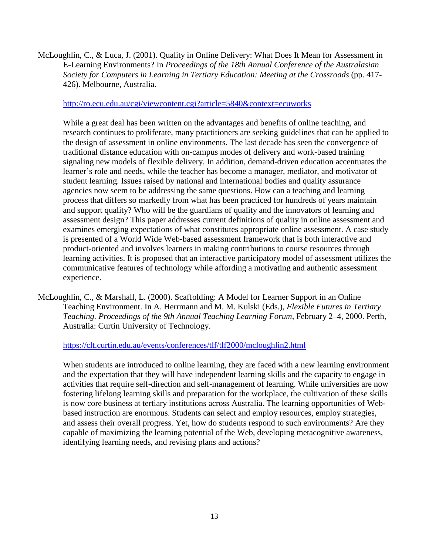McLoughlin, C., & Luca, J. (2001). Quality in Online Delivery: What Does It Mean for Assessment in E-Learning Environments? In *Proceedings of the 18th Annual Conference of the Australasian Society for Computers in Learning in Tertiary Education: Meeting at the Crossroads* (pp. 417- 426). Melbourne, Australia.

#### <http://ro.ecu.edu.au/cgi/viewcontent.cgi?article=5840&context=ecuworks>

While a great deal has been written on the advantages and benefits of online teaching, and research continues to proliferate, many practitioners are seeking guidelines that can be applied to the design of assessment in online environments. The last decade has seen the convergence of traditional distance education with on-campus modes of delivery and work-based training signaling new models of flexible delivery. In addition, demand-driven education accentuates the learner's role and needs, while the teacher has become a manager, mediator, and motivator of student learning. Issues raised by national and international bodies and quality assurance agencies now seem to be addressing the same questions. How can a teaching and learning process that differs so markedly from what has been practiced for hundreds of years maintain and support quality? Who will be the guardians of quality and the innovators of learning and assessment design? This paper addresses current definitions of quality in online assessment and examines emerging expectations of what constitutes appropriate online assessment. A case study is presented of a World Wide Web-based assessment framework that is both interactive and product-oriented and involves learners in making contributions to course resources through learning activities. It is proposed that an interactive participatory model of assessment utilizes the communicative features of technology while affording a motivating and authentic assessment experience.

McLoughlin, C., & Marshall, L. (2000). Scaffolding: A Model for Learner Support in an Online Teaching Environment. In A. Herrmann and M. M. Kulski (Eds.), *Flexible Futures in Tertiary Teaching. Proceedings of the 9th Annual Teaching Learning Forum*, February 2–4, 2000. Perth, Australia: Curtin University of Technology.

<https://clt.curtin.edu.au/events/conferences/tlf/tlf2000/mcloughlin2.html>

When students are introduced to online learning, they are faced with a new learning environment and the expectation that they will have independent learning skills and the capacity to engage in activities that require self-direction and self-management of learning. While universities are now fostering lifelong learning skills and preparation for the workplace, the cultivation of these skills is now core business at tertiary institutions across Australia. The learning opportunities of Webbased instruction are enormous. Students can select and employ resources, employ strategies, and assess their overall progress. Yet, how do students respond to such environments? Are they capable of maximizing the learning potential of the Web, developing metacognitive awareness, identifying learning needs, and revising plans and actions?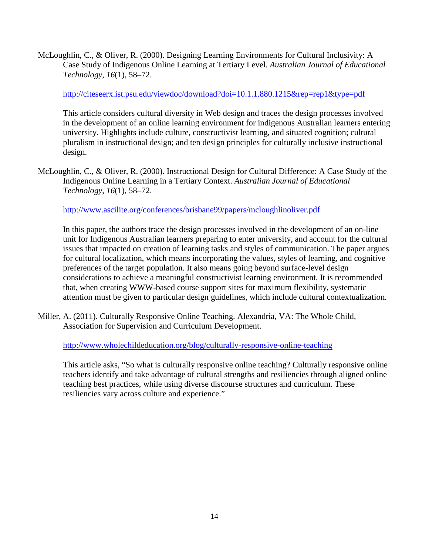McLoughlin, C., & Oliver, R. (2000). Designing Learning Environments for Cultural Inclusivity: A Case Study of Indigenous Online Learning at Tertiary Level. *Australian Journal of Educational Technology*, *16*(1), 58–72.

<http://citeseerx.ist.psu.edu/viewdoc/download?doi=10.1.1.880.1215&rep=rep1&type=pdf>

This article considers cultural diversity in Web design and traces the design processes involved in the development of an online learning environment for indigenous Australian learners entering university. Highlights include culture, constructivist learning, and situated cognition; cultural pluralism in instructional design; and ten design principles for culturally inclusive instructional design.

McLoughlin, C., & Oliver, R. (2000). Instructional Design for Cultural Difference: A Case Study of the Indigenous Online Learning in a Tertiary Context. *Australian Journal of Educational Technology*, *16*(1), 58–72.

<http://www.ascilite.org/conferences/brisbane99/papers/mcloughlinoliver.pdf>

In this paper, the authors trace the design processes involved in the development of an on-line unit for Indigenous Australian learners preparing to enter university, and account for the cultural issues that impacted on creation of learning tasks and styles of communication. The paper argues for cultural localization, which means incorporating the values, styles of learning, and cognitive preferences of the target population. It also means going beyond surface-level design considerations to achieve a meaningful constructivist learning environment. It is recommended that, when creating WWW-based course support sites for maximum flexibility, systematic attention must be given to particular design guidelines, which include cultural contextualization.

Miller, A. (2011). Culturally Responsive Online Teaching. Alexandria, VA: The Whole Child, Association for Supervision and Curriculum Development.

<http://www.wholechildeducation.org/blog/culturally-responsive-online-teaching>

This article asks, "So what is culturally responsive online teaching? Culturally responsive online teachers identify and take advantage of cultural strengths and resiliencies through aligned online teaching best practices, while using diverse discourse structures and curriculum. These resiliencies vary across culture and experience."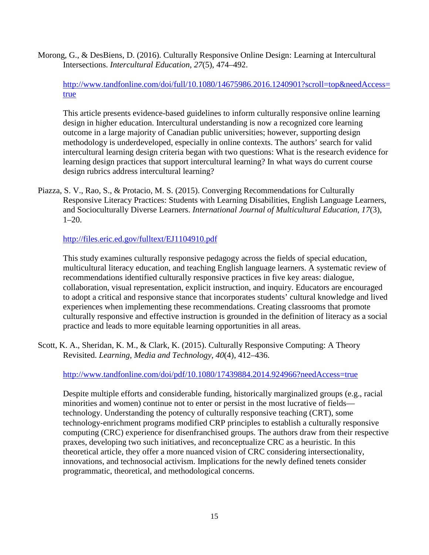Morong, G., & DesBiens, D. (2016). Culturally Responsive Online Design: Learning at Intercultural Intersections. *Intercultural Education*, *27*(5), 474–492.

[http://www.tandfonline.com/doi/full/10.1080/14675986.2016.1240901?scroll=top&needAccess=](http://www.tandfonline.com/doi/full/10.1080/14675986.2016.1240901?scroll=top&needAccess=true) [true](http://www.tandfonline.com/doi/full/10.1080/14675986.2016.1240901?scroll=top&needAccess=true)

This article presents evidence-based guidelines to inform culturally responsive online learning design in higher education. Intercultural understanding is now a recognized core learning outcome in a large majority of Canadian public universities; however, supporting design methodology is underdeveloped, especially in online contexts. The authors' search for valid intercultural learning design criteria began with two questions: What is the research evidence for learning design practices that support intercultural learning? In what ways do current course design rubrics address intercultural learning?

Piazza, S. V., Rao, S., & Protacio, M. S. (2015). Converging Recommendations for Culturally Responsive Literacy Practices: Students with Learning Disabilities, English Language Learners, and Socioculturally Diverse Learners. *International Journal of Multicultural Education*, *17*(3), 1–20.

<http://files.eric.ed.gov/fulltext/EJ1104910.pdf>

This study examines culturally responsive pedagogy across the fields of special education, multicultural literacy education, and teaching English language learners. A systematic review of recommendations identified culturally responsive practices in five key areas: dialogue, collaboration, visual representation, explicit instruction, and inquiry. Educators are encouraged to adopt a critical and responsive stance that incorporates students' cultural knowledge and lived experiences when implementing these recommendations. Creating classrooms that promote culturally responsive and effective instruction is grounded in the definition of literacy as a social practice and leads to more equitable learning opportunities in all areas.

Scott, K. A., Sheridan, K. M., & Clark, K. (2015). Culturally Responsive Computing: A Theory Revisited. *Learning, Media and Technology*, *40*(4), 412–436.

<http://www.tandfonline.com/doi/pdf/10.1080/17439884.2014.924966?needAccess=true>

Despite multiple efforts and considerable funding, historically marginalized groups (e.g., racial minorities and women) continue not to enter or persist in the most lucrative of fields technology. Understanding the potency of culturally responsive teaching (CRT), some technology-enrichment programs modified CRP principles to establish a culturally responsive computing (CRC) experience for disenfranchised groups. The authors draw from their respective praxes, developing two such initiatives, and reconceptualize CRC as a heuristic. In this theoretical article, they offer a more nuanced vision of CRC considering intersectionality, innovations, and technosocial activism. Implications for the newly defined tenets consider programmatic, theoretical, and methodological concerns.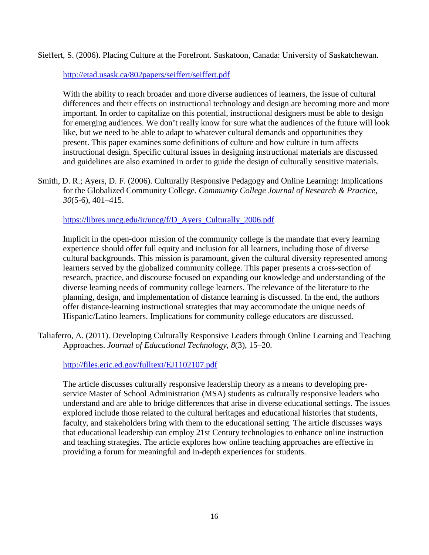Sieffert, S. (2006). Placing Culture at the Forefront. Saskatoon, Canada: University of Saskatchewan.

<http://etad.usask.ca/802papers/seiffert/seiffert.pdf>

With the ability to reach broader and more diverse audiences of learners, the issue of cultural differences and their effects on instructional technology and design are becoming more and more important. In order to capitalize on this potential, instructional designers must be able to design for emerging audiences. We don't really know for sure what the audiences of the future will look like, but we need to be able to adapt to whatever cultural demands and opportunities they present. This paper examines some definitions of culture and how culture in turn affects instructional design. Specific cultural issues in designing instructional materials are discussed and guidelines are also examined in order to guide the design of culturally sensitive materials.

Smith, D. R.; Ayers, D. F. (2006). Culturally Responsive Pedagogy and Online Learning: Implications for the Globalized Community College. *Community College Journal of Research & Practice*, *30*(5-6), 401–415.

[https://libres.uncg.edu/ir/uncg/f/D\\_Ayers\\_Culturally\\_2006.pdf](https://libres.uncg.edu/ir/uncg/f/D_Ayers_Culturally_2006.pdf)

Implicit in the open-door mission of the community college is the mandate that every learning experience should offer full equity and inclusion for all learners, including those of diverse cultural backgrounds. This mission is paramount, given the cultural diversity represented among learners served by the globalized community college. This paper presents a cross-section of research, practice, and discourse focused on expanding our knowledge and understanding of the diverse learning needs of community college learners. The relevance of the literature to the planning, design, and implementation of distance learning is discussed. In the end, the authors offer distance-learning instructional strategies that may accommodate the unique needs of Hispanic/Latino learners. Implications for community college educators are discussed.

Taliaferro, A. (2011). Developing Culturally Responsive Leaders through Online Learning and Teaching Approaches. *Journal of Educational Technology*, *8*(3), 15–20.

<http://files.eric.ed.gov/fulltext/EJ1102107.pdf>

The article discusses culturally responsive leadership theory as a means to developing preservice Master of School Administration (MSA) students as culturally responsive leaders who understand and are able to bridge differences that arise in diverse educational settings. The issues explored include those related to the cultural heritages and educational histories that students, faculty, and stakeholders bring with them to the educational setting. The article discusses ways that educational leadership can employ 21st Century technologies to enhance online instruction and teaching strategies. The article explores how online teaching approaches are effective in providing a forum for meaningful and in-depth experiences for students.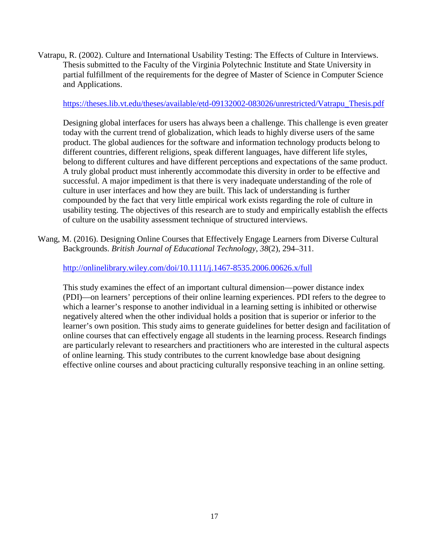Vatrapu, R. (2002). Culture and International Usability Testing: The Effects of Culture in Interviews. Thesis submitted to the Faculty of the Virginia Polytechnic Institute and State University in partial fulfillment of the requirements for the degree of Master of Science in Computer Science and Applications.

#### [https://theses.lib.vt.edu/theses/available/etd-09132002-083026/unrestricted/Vatrapu\\_Thesis.pdf](https://theses.lib.vt.edu/theses/available/etd-09132002-083026/unrestricted/Vatrapu_Thesis.pdf)

Designing global interfaces for users has always been a challenge. This challenge is even greater today with the current trend of globalization, which leads to highly diverse users of the same product. The global audiences for the software and information technology products belong to different countries, different religions, speak different languages, have different life styles, belong to different cultures and have different perceptions and expectations of the same product. A truly global product must inherently accommodate this diversity in order to be effective and successful. A major impediment is that there is very inadequate understanding of the role of culture in user interfaces and how they are built. This lack of understanding is further compounded by the fact that very little empirical work exists regarding the role of culture in usability testing. The objectives of this research are to study and empirically establish the effects of culture on the usability assessment technique of structured interviews.

Wang, M. (2016). Designing Online Courses that Effectively Engage Learners from Diverse Cultural Backgrounds. *British Journal of Educational Technology*, *38*(2), 294–311.

### <http://onlinelibrary.wiley.com/doi/10.1111/j.1467-8535.2006.00626.x/full>

This study examines the effect of an important cultural dimension—power distance index (PDI)—on learners' perceptions of their online learning experiences. PDI refers to the degree to which a learner's response to another individual in a learning setting is inhibited or otherwise negatively altered when the other individual holds a position that is superior or inferior to the learner's own position. This study aims to generate guidelines for better design and facilitation of online courses that can effectively engage all students in the learning process. Research findings are particularly relevant to researchers and practitioners who are interested in the cultural aspects of online learning. This study contributes to the current knowledge base about designing effective online courses and about practicing culturally responsive teaching in an online setting.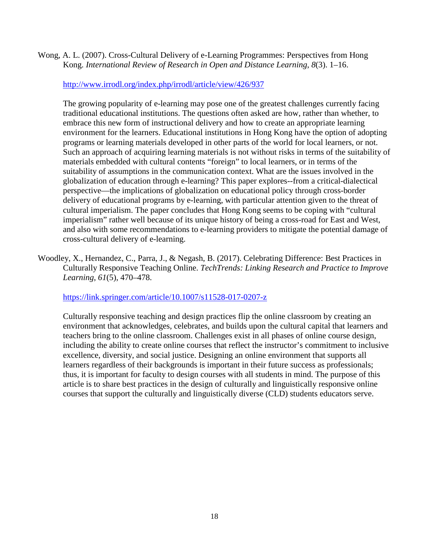Wong, A. L. (2007). Cross-Cultural Delivery of e-Learning Programmes: Perspectives from Hong Kong. *International Review of Research in Open and Distance Learning*, *8*(3). 1–16.

# <http://www.irrodl.org/index.php/irrodl/article/view/426/937>

The growing popularity of e-learning may pose one of the greatest challenges currently facing traditional educational institutions. The questions often asked are how, rather than whether, to embrace this new form of instructional delivery and how to create an appropriate learning environment for the learners. Educational institutions in Hong Kong have the option of adopting programs or learning materials developed in other parts of the world for local learners, or not. Such an approach of acquiring learning materials is not without risks in terms of the suitability of materials embedded with cultural contents "foreign" to local learners, or in terms of the suitability of assumptions in the communication context. What are the issues involved in the globalization of education through e-learning? This paper explores--from a critical-dialectical perspective—the implications of globalization on educational policy through cross-border delivery of educational programs by e-learning, with particular attention given to the threat of cultural imperialism. The paper concludes that Hong Kong seems to be coping with "cultural imperialism" rather well because of its unique history of being a cross-road for East and West, and also with some recommendations to e-learning providers to mitigate the potential damage of cross-cultural delivery of e-learning.

Woodley, X., Hernandez, C., Parra, J., & Negash, B. (2017). Celebrating Difference: Best Practices in Culturally Responsive Teaching Online. *TechTrends: Linking Research and Practice to Improve Learning*, *61*(5), 470–478.

<https://link.springer.com/article/10.1007/s11528-017-0207-z>

Culturally responsive teaching and design practices flip the online classroom by creating an environment that acknowledges, celebrates, and builds upon the cultural capital that learners and teachers bring to the online classroom. Challenges exist in all phases of online course design, including the ability to create online courses that reflect the instructor's commitment to inclusive excellence, diversity, and social justice. Designing an online environment that supports all learners regardless of their backgrounds is important in their future success as professionals; thus, it is important for faculty to design courses with all students in mind. The purpose of this article is to share best practices in the design of culturally and linguistically responsive online courses that support the culturally and linguistically diverse (CLD) students educators serve.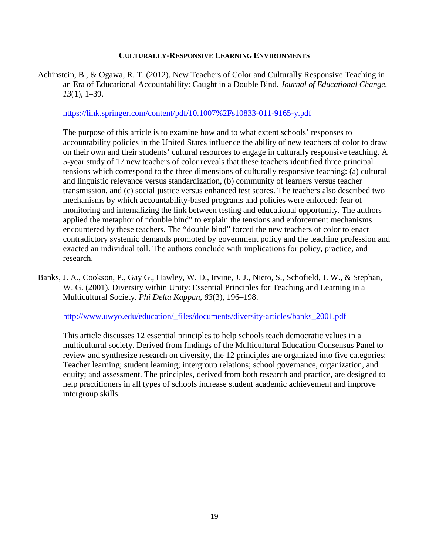#### **CULTURALLY-RESPONSIVE LEARNING ENVIRONMENTS**

Achinstein, B., & Ogawa, R. T. (2012). New Teachers of Color and Culturally Responsive Teaching in an Era of Educational Accountability: Caught in a Double Bind. *Journal of Educational Change*, *13*(1), 1–39.

<https://link.springer.com/content/pdf/10.1007%2Fs10833-011-9165-y.pdf>

The purpose of this article is to examine how and to what extent schools' responses to accountability policies in the United States influence the ability of new teachers of color to draw on their own and their students' cultural resources to engage in culturally responsive teaching. A 5-year study of 17 new teachers of color reveals that these teachers identified three principal tensions which correspond to the three dimensions of culturally responsive teaching: (a) cultural and linguistic relevance versus standardization, (b) community of learners versus teacher transmission, and (c) social justice versus enhanced test scores. The teachers also described two mechanisms by which accountability-based programs and policies were enforced: fear of monitoring and internalizing the link between testing and educational opportunity. The authors applied the metaphor of "double bind" to explain the tensions and enforcement mechanisms encountered by these teachers. The "double bind" forced the new teachers of color to enact contradictory systemic demands promoted by government policy and the teaching profession and exacted an individual toll. The authors conclude with implications for policy, practice, and research.

Banks, J. A., Cookson, P., Gay G., Hawley, W. D., Irvine, J. J., Nieto, S., Schofield, J. W., & Stephan, W. G. (2001). Diversity within Unity: Essential Principles for Teaching and Learning in a Multicultural Society. *Phi Delta Kappan*, *83*(3), 196–198.

[http://www.uwyo.edu/education/\\_files/documents/diversity-articles/banks\\_2001.pdf](http://www.uwyo.edu/education/_files/documents/diversity-articles/banks_2001.pdf)

This article discusses 12 essential principles to help schools teach democratic values in a multicultural society. Derived from findings of the Multicultural Education Consensus Panel to review and synthesize research on diversity, the 12 principles are organized into five categories: Teacher learning; student learning; intergroup relations; school governance, organization, and equity; and assessment. The principles, derived from both research and practice, are designed to help practitioners in all types of schools increase student academic achievement and improve intergroup skills.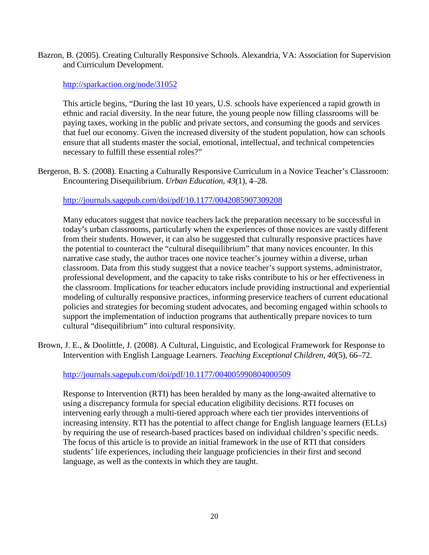Bazron, B. (2005). Creating Culturally Responsive Schools. Alexandria, VA: Association for Supervision and Curriculum Development.

## <http://sparkaction.org/node/31052>

This article begins, "During the last 10 years, U.S. schools have experienced a rapid growth in ethnic and racial diversity. In the near future, the young people now filling classrooms will be paying taxes, working in the public and private sectors, and consuming the goods and services that fuel our economy. Given the increased diversity of the student population, how can schools ensure that all students master the social, emotional, intellectual, and technical competencies necessary to fulfill these essential roles?"

Bergeron, B. S. (2008). Enacting a Culturally Responsive Curriculum in a Novice Teacher's Classroom: Encountering Disequilibrium. *Urban Education*, *43*(1), 4–28.

# <http://journals.sagepub.com/doi/pdf/10.1177/0042085907309208>

Many educators suggest that novice teachers lack the preparation necessary to be successful in today's urban classrooms, particularly when the experiences of those novices are vastly different from their students. However, it can also be suggested that culturally responsive practices have the potential to counteract the "cultural disequilibrium" that many novices encounter. In this narrative case study, the author traces one novice teacher's journey within a diverse, urban classroom. Data from this study suggest that a novice teacher's support systems, administrator, professional development, and the capacity to take risks contribute to his or her effectiveness in the classroom. Implications for teacher educators include providing instructional and experiential modeling of culturally responsive practices, informing preservice teachers of current educational policies and strategies for becoming student advocates, and becoming engaged within schools to support the implementation of induction programs that authentically prepare novices to turn cultural "disequilibrium" into cultural responsivity.

Brown, J. E., & Doolittle, J. (2008). A Cultural, Linguistic, and Ecological Framework for Response to Intervention with English Language Learners. *Teaching Exceptional Children*, *40*(5), 66–72.

# <http://journals.sagepub.com/doi/pdf/10.1177/004005990804000509>

Response to Intervention (RTI) has been heralded by many as the long-awaited alternative to using a discrepancy formula for special education eligibility decisions. RTI focuses on intervening early through a multi-tiered approach where each tier provides interventions of increasing intensity. RTI has the potential to affect change for English language learners (ELLs) by requiring the use of research-based practices based on individual children's specific needs. The focus of this article is to provide an initial framework in the use of RTI that considers students' life experiences, including their language proficiencies in their first and second language, as well as the contexts in which they are taught.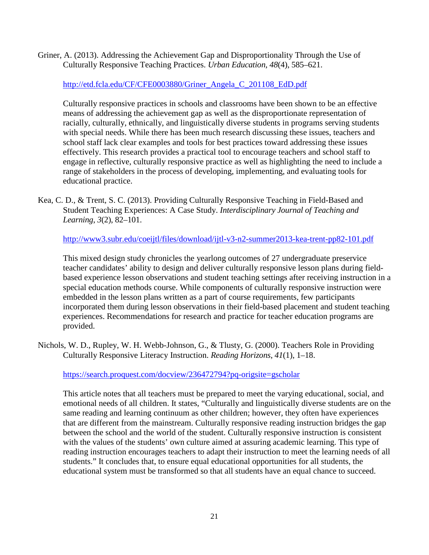Griner, A. (2013). Addressing the Achievement Gap and Disproportionality Through the Use of Culturally Responsive Teaching Practices. *Urban Education*, *48*(4), 585–621.

[http://etd.fcla.edu/CF/CFE0003880/Griner\\_Angela\\_C\\_201108\\_EdD.pdf](http://etd.fcla.edu/CF/CFE0003880/Griner_Angela_C_201108_EdD.pdf)

Culturally responsive practices in schools and classrooms have been shown to be an effective means of addressing the achievement gap as well as the disproportionate representation of racially, culturally, ethnically, and linguistically diverse students in programs serving students with special needs. While there has been much research discussing these issues, teachers and school staff lack clear examples and tools for best practices toward addressing these issues effectively. This research provides a practical tool to encourage teachers and school staff to engage in reflective, culturally responsive practice as well as highlighting the need to include a range of stakeholders in the process of developing, implementing, and evaluating tools for educational practice.

Kea, C. D., & Trent, S. C. (2013). Providing Culturally Responsive Teaching in Field-Based and Student Teaching Experiences: A Case Study. *Interdisciplinary Journal of Teaching and Learning*, *3*(2), 82–101.

<http://www3.subr.edu/coeijtl/files/download/ijtl-v3-n2-summer2013-kea-trent-pp82-101.pdf>

This mixed design study chronicles the yearlong outcomes of 27 undergraduate preservice teacher candidates' ability to design and deliver culturally responsive lesson plans during fieldbased experience lesson observations and student teaching settings after receiving instruction in a special education methods course. While components of culturally responsive instruction were embedded in the lesson plans written as a part of course requirements, few participants incorporated them during lesson observations in their field-based placement and student teaching experiences. Recommendations for research and practice for teacher education programs are provided.

Nichols, W. D., Rupley, W. H. Webb-Johnson, G., & Tlusty, G. (2000). Teachers Role in Providing Culturally Responsive Literacy Instruction. *Reading Horizons*, *41*(1), 1–18.

<https://search.proquest.com/docview/236472794?pq-origsite=gscholar>

This article notes that all teachers must be prepared to meet the varying educational, social, and emotional needs of all children. It states, "Culturally and linguistically diverse students are on the same reading and learning continuum as other children; however, they often have experiences that are different from the mainstream. Culturally responsive reading instruction bridges the gap between the school and the world of the student. Culturally responsive instruction is consistent with the values of the students' own culture aimed at assuring academic learning. This type of reading instruction encourages teachers to adapt their instruction to meet the learning needs of all students." It concludes that, to ensure equal educational opportunities for all students, the educational system must be transformed so that all students have an equal chance to succeed.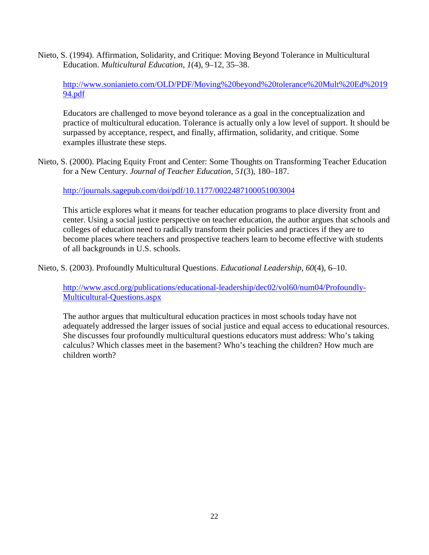Nieto, S. (1994). Affirmation, Solidarity, and Critique: Moving Beyond Tolerance in Multicultural Education. *Multicultural Education*, *1*(4), 9–12, 35–38.

[http://www.sonianieto.com/OLD/PDF/Moving%20beyond%20tolerance%20Mult%20Ed%2019](http://www.sonianieto.com/OLD/PDF/Moving%20beyond%20tolerance%20Mult%20Ed%201994.pdf) [94.pdf](http://www.sonianieto.com/OLD/PDF/Moving%20beyond%20tolerance%20Mult%20Ed%201994.pdf)

Educators are challenged to move beyond tolerance as a goal in the conceptualization and practice of multicultural education. Tolerance is actually only a low level of support. It should be surpassed by acceptance, respect, and finally, affirmation, solidarity, and critique. Some examples illustrate these steps.

Nieto, S. (2000). Placing Equity Front and Center: Some Thoughts on Transforming Teacher Education for a New Century. *Journal of Teacher Education*, *51*(3), 180–187.

<http://journals.sagepub.com/doi/pdf/10.1177/0022487100051003004>

This article explores what it means for teacher education programs to place diversity front and center. Using a social justice perspective on teacher education, the author argues that schools and colleges of education need to radically transform their policies and practices if they are to become places where teachers and prospective teachers learn to become effective with students of all backgrounds in U.S. schools.

Nieto, S. (2003). Profoundly Multicultural Questions. *Educational Leadership*, *60*(4), 6–10.

[http://www.ascd.org/publications/educational-leadership/dec02/vol60/num04/Profoundly-](http://www.ascd.org/publications/educational-leadership/dec02/vol60/num04/Profoundly-Multicultural-Questions.aspx)[Multicultural-Questions.aspx](http://www.ascd.org/publications/educational-leadership/dec02/vol60/num04/Profoundly-Multicultural-Questions.aspx)

The author argues that multicultural education practices in most schools today have not adequately addressed the larger issues of social justice and equal access to educational resources. She discusses four profoundly multicultural questions educators must address: Who's taking calculus? Which classes meet in the basement? Who's teaching the children? How much are children worth?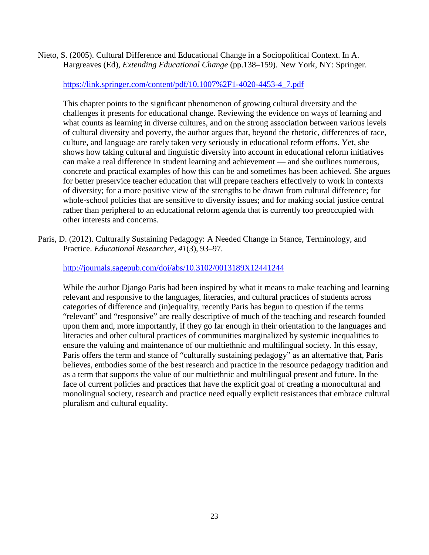Nieto, S. (2005). Cultural Difference and Educational Change in a Sociopolitical Context. In A. Hargreaves (Ed), *Extending Educational Change* (pp.138–159). New York, NY: Springer.

# [https://link.springer.com/content/pdf/10.1007%2F1-4020-4453-4\\_7.pdf](https://link.springer.com/content/pdf/10.1007%2F1-4020-4453-4_7.pdf)

This chapter points to the significant phenomenon of growing cultural diversity and the challenges it presents for educational change. Reviewing the evidence on ways of learning and what counts as learning in diverse cultures, and on the strong association between various levels of cultural diversity and poverty, the author argues that, beyond the rhetoric, differences of race, culture, and language are rarely taken very seriously in educational reform efforts. Yet, she shows how taking cultural and linguistic diversity into account in educational reform initiatives can make a real difference in student learning and achievement — and she outlines numerous, concrete and practical examples of how this can be and sometimes has been achieved. She argues for better preservice teacher education that will prepare teachers effectively to work in contexts of diversity; for a more positive view of the strengths to be drawn from cultural difference; for whole-school policies that are sensitive to diversity issues; and for making social justice central rather than peripheral to an educational reform agenda that is currently too preoccupied with other interests and concerns.

Paris, D. (2012). Culturally Sustaining Pedagogy: A Needed Change in Stance, Terminology, and Practice. *Educational Researcher*, *41*(3), 93–97.

# <http://journals.sagepub.com/doi/abs/10.3102/0013189X12441244>

While the author Django Paris had been inspired by what it means to make teaching and learning relevant and responsive to the languages, literacies, and cultural practices of students across categories of difference and (in)equality, recently Paris has begun to question if the terms "relevant" and "responsive" are really descriptive of much of the teaching and research founded upon them and, more importantly, if they go far enough in their orientation to the languages and literacies and other cultural practices of communities marginalized by systemic inequalities to ensure the valuing and maintenance of our multiethnic and multilingual society. In this essay, Paris offers the term and stance of "culturally sustaining pedagogy" as an alternative that, Paris believes, embodies some of the best research and practice in the resource pedagogy tradition and as a term that supports the value of our multiethnic and multilingual present and future. In the face of current policies and practices that have the explicit goal of creating a monocultural and monolingual society, research and practice need equally explicit resistances that embrace cultural pluralism and cultural equality.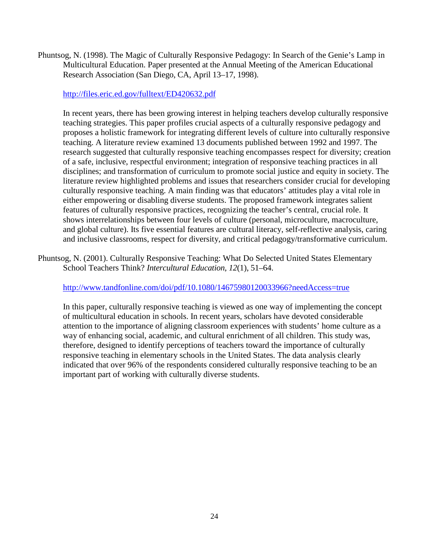Phuntsog, N. (1998). The Magic of Culturally Responsive Pedagogy: In Search of the Genie's Lamp in Multicultural Education. Paper presented at the Annual Meeting of the American Educational Research Association (San Diego, CA, April 13–17, 1998).

### <http://files.eric.ed.gov/fulltext/ED420632.pdf>

In recent years, there has been growing interest in helping teachers develop culturally responsive teaching strategies. This paper profiles crucial aspects of a culturally responsive pedagogy and proposes a holistic framework for integrating different levels of culture into culturally responsive teaching. A literature review examined 13 documents published between 1992 and 1997. The research suggested that culturally responsive teaching encompasses respect for diversity; creation of a safe, inclusive, respectful environment; integration of responsive teaching practices in all disciplines; and transformation of curriculum to promote social justice and equity in society. The literature review highlighted problems and issues that researchers consider crucial for developing culturally responsive teaching. A main finding was that educators' attitudes play a vital role in either empowering or disabling diverse students. The proposed framework integrates salient features of culturally responsive practices, recognizing the teacher's central, crucial role. It shows interrelationships between four levels of culture (personal, microculture, macroculture, and global culture). Its five essential features are cultural literacy, self-reflective analysis, caring and inclusive classrooms, respect for diversity, and critical pedagogy/transformative curriculum.

Phuntsog, N. (2001). Culturally Responsive Teaching: What Do Selected United States Elementary School Teachers Think? *Intercultural Education*, *12*(1), 51–64.

### <http://www.tandfonline.com/doi/pdf/10.1080/14675980120033966?needAccess=true>

In this paper, culturally responsive teaching is viewed as one way of implementing the concept of multicultural education in schools. In recent years, scholars have devoted considerable attention to the importance of aligning classroom experiences with students' home culture as a way of enhancing social, academic, and cultural enrichment of all children. This study was, therefore, designed to identify perceptions of teachers toward the importance of culturally responsive teaching in elementary schools in the United States. The data analysis clearly indicated that over 96% of the respondents considered culturally responsive teaching to be an important part of working with culturally diverse students.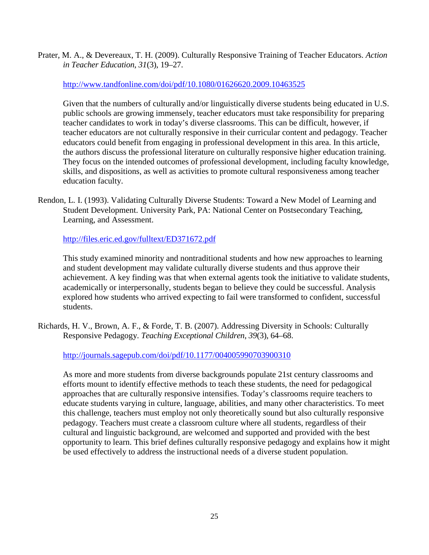Prater, M. A., & Devereaux, T. H. (2009). Culturally Responsive Training of Teacher Educators. *Action in Teacher Education*, *31*(3), 19–27.

# <http://www.tandfonline.com/doi/pdf/10.1080/01626620.2009.10463525>

Given that the numbers of culturally and/or linguistically diverse students being educated in U.S. public schools are growing immensely, teacher educators must take responsibility for preparing teacher candidates to work in today's diverse classrooms. This can be difficult, however, if teacher educators are not culturally responsive in their curricular content and pedagogy. Teacher educators could benefit from engaging in professional development in this area. In this article, the authors discuss the professional literature on culturally responsive higher education training. They focus on the intended outcomes of professional development, including faculty knowledge, skills, and dispositions, as well as activities to promote cultural responsiveness among teacher education faculty.

Rendon, L. I. (1993). Validating Culturally Diverse Students: Toward a New Model of Learning and Student Development. University Park, PA: National Center on Postsecondary Teaching, Learning, and Assessment.

<http://files.eric.ed.gov/fulltext/ED371672.pdf>

This study examined minority and nontraditional students and how new approaches to learning and student development may validate culturally diverse students and thus approve their achievement. A key finding was that when external agents took the initiative to validate students, academically or interpersonally, students began to believe they could be successful. Analysis explored how students who arrived expecting to fail were transformed to confident, successful students.

Richards, H. V., Brown, A. F., & Forde, T. B. (2007). Addressing Diversity in Schools: Culturally Responsive Pedagogy. *Teaching Exceptional Children*, *39*(3), 64–68.

<http://journals.sagepub.com/doi/pdf/10.1177/004005990703900310>

As more and more students from diverse backgrounds populate 21st century classrooms and efforts mount to identify effective methods to teach these students, the need for pedagogical approaches that are culturally responsive intensifies. Today's classrooms require teachers to educate students varying in culture, language, abilities, and many other characteristics. To meet this challenge, teachers must employ not only theoretically sound but also culturally responsive pedagogy. Teachers must create a classroom culture where all students, regardless of their cultural and linguistic background, are welcomed and supported and provided with the best opportunity to learn. This brief defines culturally responsive pedagogy and explains how it might be used effectively to address the instructional needs of a diverse student population.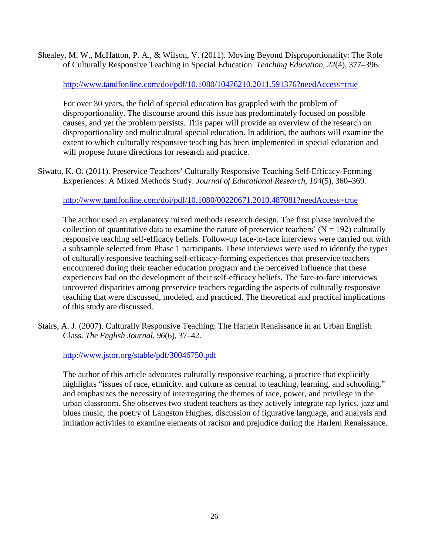Shealey, M. W., McHatton, P. A., & Wilson, V. (2011). Moving Beyond Disproportionality: The Role of Culturally Responsive Teaching in Special Education. *Teaching Education*, *22*(4), 377–396.

<http://www.tandfonline.com/doi/pdf/10.1080/10476210.2011.591376?needAccess=true>

For over 30 years, the field of special education has grappled with the problem of disproportionality. The discourse around this issue has predominately focused on possible causes, and yet the problem persists. This paper will provide an overview of the research on disproportionality and multicultural special education. In addition, the authors will examine the extent to which culturally responsive teaching has been implemented in special education and will propose future directions for research and practice.

Siwatu, K. O. (2011). Preservice Teachers' Culturally Responsive Teaching Self-Efficacy-Forming Experiences: A Mixed Methods Study. *Journal of Educational Research*, *104*(5), 360–369.

<http://www.tandfonline.com/doi/pdf/10.1080/00220671.2010.487081?needAccess=true>

The author used an explanatory mixed methods research design. The first phase involved the collection of quantitative data to examine the nature of preservice teachers' ( $N = 192$ ) culturally responsive teaching self-efficacy beliefs. Follow-up face-to-face interviews were carried out with a subsample selected from Phase 1 participants. These interviews were used to identify the types of culturally responsive teaching self-efficacy-forming experiences that preservice teachers encountered during their teacher education program and the perceived influence that these experiences had on the development of their self-efficacy beliefs. The face-to-face interviews uncovered disparities among preservice teachers regarding the aspects of culturally responsive teaching that were discussed, modeled, and practiced. The theoretical and practical implications of this study are discussed.

Stairs, A. J. (2007). Culturally Responsive Teaching: The Harlem Renaissance in an Urban English Class. *The English Journal*, *96*(6), 37–42.

<http://www.jstor.org/stable/pdf/30046750.pdf>

The author of this article advocates culturally responsive teaching, a practice that explicitly highlights "issues of race, ethnicity, and culture as central to teaching, learning, and schooling," and emphasizes the necessity of interrogating the themes of race, power, and privilege in the urban classroom. She observes two student teachers as they actively integrate rap lyrics, jazz and blues music, the poetry of Langston Hughes, discussion of figurative language, and analysis and imitation activities to examine elements of racism and prejudice during the Harlem Renaissance.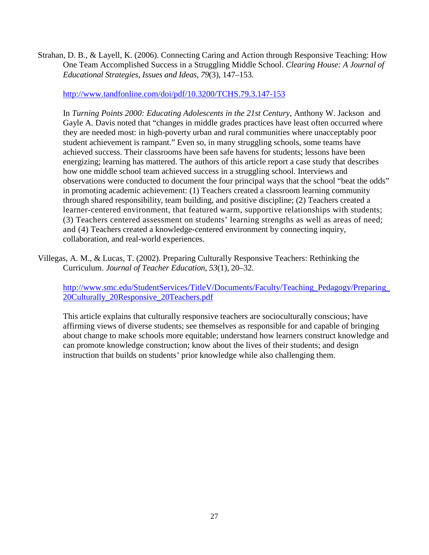Strahan, D. B., & Layell, K. (2006). Connecting Caring and Action through Responsive Teaching: How One Team Accomplished Success in a Struggling Middle School. *Clearing House: A Journal of Educational Strategies, Issues and Ideas*, *79*(3), 147–153.

<http://www.tandfonline.com/doi/pdf/10.3200/TCHS.79.3.147-153>

In *Turning Points 2000: Educating Adolescents in the 21st Century*, Anthony W. Jackson and Gayle A. Davis noted that "changes in middle grades practices have least often occurred where they are needed most: in high-poverty urban and rural communities where unacceptably poor student achievement is rampant." Even so, in many struggling schools, some teams have achieved success. Their classrooms have been safe havens for students; lessons have been energizing; learning has mattered. The authors of this article report a case study that describes how one middle school team achieved success in a struggling school. Interviews and observations were conducted to document the four principal ways that the school "beat the odds" in promoting academic achievement: (1) Teachers created a classroom learning community through shared responsibility, team building, and positive discipline; (2) Teachers created a learner-centered environment, that featured warm, supportive relationships with students; (3) Teachers centered assessment on students' learning strengths as well as areas of need; and (4) Teachers created a knowledge-centered environment by connecting inquiry, collaboration, and real-world experiences.

Villegas, A. M., & Lucas, T. (2002). Preparing Culturally Responsive Teachers: Rethinking the Curriculum. *Journal of Teacher Education*, *53*(1), 20–32.

[http://www.smc.edu/StudentServices/TitleV/Documents/Faculty/Teaching\\_Pedagogy/Preparing\\_](http://www.smc.edu/StudentServices/TitleV/Documents/Faculty/Teaching_Pedagogy/Preparing_20Culturally_20Responsive_20Teachers.pdf) [20Culturally\\_20Responsive\\_20Teachers.pdf](http://www.smc.edu/StudentServices/TitleV/Documents/Faculty/Teaching_Pedagogy/Preparing_20Culturally_20Responsive_20Teachers.pdf)

This article explains that culturally responsive teachers are socioculturally conscious; have affirming views of diverse students; see themselves as responsible for and capable of bringing about change to make schools more equitable; understand how learners construct knowledge and can promote knowledge construction; know about the lives of their students; and design instruction that builds on students' prior knowledge while also challenging them.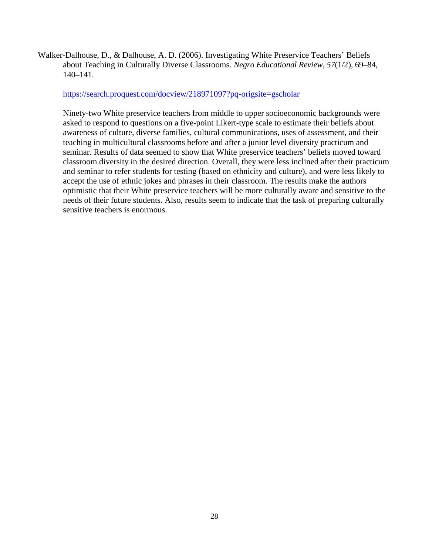Walker-Dalhouse, D., & Dalhouse, A. D. (2006). Investigating White Preservice Teachers' Beliefs about Teaching in Culturally Diverse Classrooms. *Negro Educational Review*, *57*(1/2), 69–84, 140–141.

<https://search.proquest.com/docview/218971097?pq-origsite=gscholar>

Ninety-two White preservice teachers from middle to upper socioeconomic backgrounds were asked to respond to questions on a five-point Likert-type scale to estimate their beliefs about awareness of culture, diverse families, cultural communications, uses of assessment, and their teaching in multicultural classrooms before and after a junior level diversity practicum and seminar. Results of data seemed to show that White preservice teachers' beliefs moved toward classroom diversity in the desired direction. Overall, they were less inclined after their practicum and seminar to refer students for testing (based on ethnicity and culture), and were less likely to accept the use of ethnic jokes and phrases in their classroom. The results make the authors optimistic that their White preservice teachers will be more culturally aware and sensitive to the needs of their future students. Also, results seem to indicate that the task of preparing culturally sensitive teachers is enormous.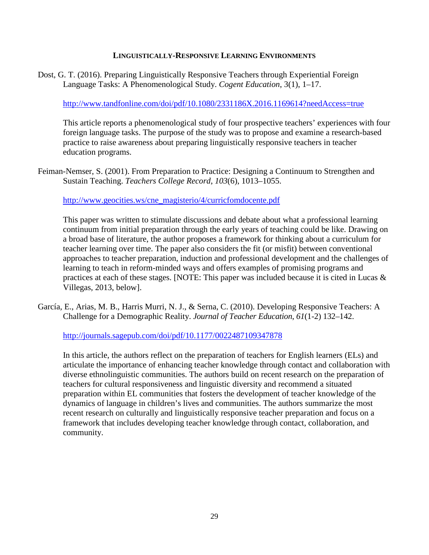#### **LINGUISTICALLY-RESPONSIVE LEARNING ENVIRONMENTS**

Dost, G. T. (2016). Preparing Linguistically Responsive Teachers through Experiential Foreign Language Tasks: A Phenomenological Study. *Cogent Education*, 3(1), 1–17.

<http://www.tandfonline.com/doi/pdf/10.1080/2331186X.2016.1169614?needAccess=true>

This article reports a phenomenological study of four prospective teachers' experiences with four foreign language tasks. The purpose of the study was to propose and examine a research-based practice to raise awareness about preparing linguistically responsive teachers in teacher education programs.

Feiman-Nemser, S. (2001). From Preparation to Practice: Designing a Continuum to Strengthen and Sustain Teaching. *Teachers College Record*, *103*(6), 1013–1055.

[http://www.geocities.ws/cne\\_magisterio/4/curricfomdocente.pdf](http://www.geocities.ws/cne_magisterio/4/curricfomdocente.pdf)

This paper was written to stimulate discussions and debate about what a professional learning continuum from initial preparation through the early years of teaching could be like. Drawing on a broad base of literature, the author proposes a framework for thinking about a curriculum for teacher learning over time. The paper also considers the fit (or misfit) between conventional approaches to teacher preparation, induction and professional development and the challenges of learning to teach in reform-minded ways and offers examples of promising programs and practices at each of these stages. [NOTE: This paper was included because it is cited in Lucas & Villegas, 2013, below].

García, E., Arias, M. B., Harris Murri, N. J., & Serna, C. (2010). Developing Responsive Teachers: A Challenge for a Demographic Reality. *Journal of Teacher Education*, *61*(1-2) 132–142.

<http://journals.sagepub.com/doi/pdf/10.1177/0022487109347878>

In this article, the authors reflect on the preparation of teachers for English learners (ELs) and articulate the importance of enhancing teacher knowledge through contact and collaboration with diverse ethnolinguistic communities. The authors build on recent research on the preparation of teachers for cultural responsiveness and linguistic diversity and recommend a situated preparation within EL communities that fosters the development of teacher knowledge of the dynamics of language in children's lives and communities. The authors summarize the most recent research on culturally and linguistically responsive teacher preparation and focus on a framework that includes developing teacher knowledge through contact, collaboration, and community.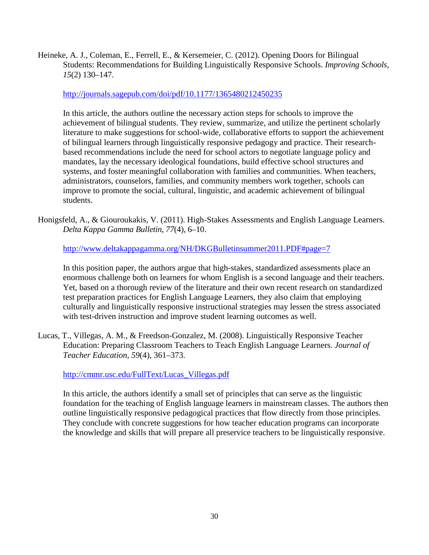Heineke, A. J., Coleman, E., Ferrell, E., & Kersemeier, C. (2012). Opening Doors for Bilingual Students: Recommendations for Building Linguistically Responsive Schools. *Improving Schools*, *15*(2) 130–147.

# <http://journals.sagepub.com/doi/pdf/10.1177/1365480212450235>

In this article, the authors outline the necessary action steps for schools to improve the achievement of bilingual students. They review, summarize, and utilize the pertinent scholarly literature to make suggestions for school-wide, collaborative efforts to support the achievement of bilingual learners through linguistically responsive pedagogy and practice. Their researchbased recommendations include the need for school actors to negotiate language policy and mandates, lay the necessary ideological foundations, build effective school structures and systems, and foster meaningful collaboration with families and communities. When teachers, administrators, counselors, families, and community members work together, schools can improve to promote the social, cultural, linguistic, and academic achievement of bilingual students.

Honigsfeld, A., & Giouroukakis, V. (2011). High-Stakes Assessments and English Language Learners. *Delta Kappa Gamma Bulletin*, *77*(4), 6–10.

<http://www.deltakappagamma.org/NH/DKGBulletinsummer2011.PDF#page=7>

In this position paper, the authors argue that high-stakes, standardized assessments place an enormous challenge both on learners for whom English is a second language and their teachers. Yet, based on a thorough review of the literature and their own recent research on standardized test preparation practices for English Language Learners, they also claim that employing culturally and linguistically responsive instructional strategies may lessen the stress associated with test-driven instruction and improve student learning outcomes as well.

Lucas, T., Villegas, A. M., & Freedson-Gonzalez, M. (2008). Linguistically Responsive Teacher Education: Preparing Classroom Teachers to Teach English Language Learners. *Journal of Teacher Education*, *59*(4), 361–373.

[http://cmmr.usc.edu/FullText/Lucas\\_Villegas.pdf](http://cmmr.usc.edu/FullText/Lucas_Villegas.pdf)

In this article, the authors identify a small set of principles that can serve as the linguistic foundation for the teaching of English language learners in mainstream classes. The authors then outline linguistically responsive pedagogical practices that flow directly from those principles. They conclude with concrete suggestions for how teacher education programs can incorporate the knowledge and skills that will prepare all preservice teachers to be linguistically responsive.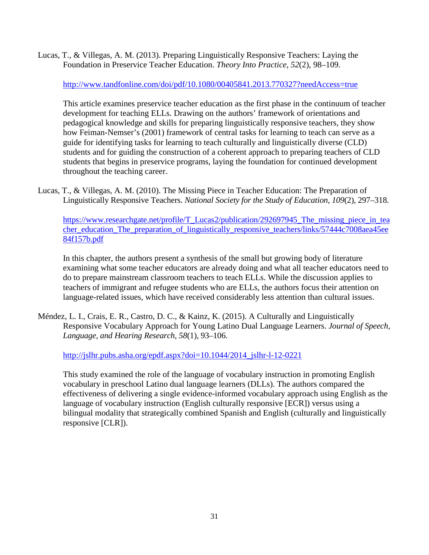Lucas, T., & Villegas, A. M. (2013). Preparing Linguistically Responsive Teachers: Laying the Foundation in Preservice Teacher Education. *Theory Into Practice*, *52*(2), 98–109.

<http://www.tandfonline.com/doi/pdf/10.1080/00405841.2013.770327?needAccess=true>

This article examines preservice teacher education as the first phase in the continuum of teacher development for teaching ELLs. Drawing on the authors' framework of orientations and pedagogical knowledge and skills for preparing linguistically responsive teachers, they show how Feiman-Nemser's (2001) framework of central tasks for learning to teach can serve as a guide for identifying tasks for learning to teach culturally and linguistically diverse (CLD) students and for guiding the construction of a coherent approach to preparing teachers of CLD students that begins in preservice programs, laying the foundation for continued development throughout the teaching career.

Lucas, T., & Villegas, A. M. (2010). The Missing Piece in Teacher Education: The Preparation of Linguistically Responsive Teachers. *National Society for the Study of Education*, *109*(2), 297–318.

[https://www.researchgate.net/profile/T\\_Lucas2/publication/292697945\\_The\\_missing\\_piece\\_in\\_tea](https://www.researchgate.net/profile/T_Lucas2/publication/292697945_The_missing_piece_in_teacher_education_The_preparation_of_linguistically_responsive_teachers/links/57444c7008aea45ee84f157b.pdf) [cher\\_education\\_The\\_preparation\\_of\\_linguistically\\_responsive\\_teachers/links/57444c7008aea45ee](https://www.researchgate.net/profile/T_Lucas2/publication/292697945_The_missing_piece_in_teacher_education_The_preparation_of_linguistically_responsive_teachers/links/57444c7008aea45ee84f157b.pdf) [84f157b.pdf](https://www.researchgate.net/profile/T_Lucas2/publication/292697945_The_missing_piece_in_teacher_education_The_preparation_of_linguistically_responsive_teachers/links/57444c7008aea45ee84f157b.pdf)

In this chapter, the authors present a synthesis of the small but growing body of literature examining what some teacher educators are already doing and what all teacher educators need to do to prepare mainstream classroom teachers to teach ELLs. While the discussion applies to teachers of immigrant and refugee students who are ELLs, the authors focus their attention on language-related issues, which have received considerably less attention than cultural issues.

Méndez, L. I., Crais, E. R., Castro, D. C., & Kainz, K. (2015). A Culturally and Linguistically Responsive Vocabulary Approach for Young Latino Dual Language Learners. *Journal of Speech, Language, and Hearing Research*, *58*(1), 93–106.

[http://jslhr.pubs.asha.org/epdf.aspx?doi=10.1044/2014\\_jslhr-l-12-0221](http://jslhr.pubs.asha.org/epdf.aspx?doi=10.1044/2014_jslhr-l-12-0221)

This study examined the role of the language of vocabulary instruction in promoting English vocabulary in preschool Latino dual language learners (DLLs). The authors compared the effectiveness of delivering a single evidence-informed vocabulary approach using English as the language of vocabulary instruction (English culturally responsive [ECR]) versus using a bilingual modality that strategically combined Spanish and English (culturally and linguistically responsive [CLR]).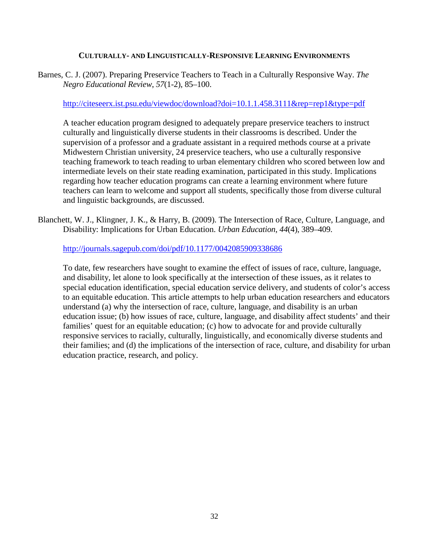### **CULTURALLY- AND LINGUISTICALLY-RESPONSIVE LEARNING ENVIRONMENTS**

Barnes, C. J. (2007). Preparing Preservice Teachers to Teach in a Culturally Responsive Way. *The Negro Educational Review*, *57*(1-2), 85–100.

#### <http://citeseerx.ist.psu.edu/viewdoc/download?doi=10.1.1.458.3111&rep=rep1&type=pdf>

A teacher education program designed to adequately prepare preservice teachers to instruct culturally and linguistically diverse students in their classrooms is described. Under the supervision of a professor and a graduate assistant in a required methods course at a private Midwestern Christian university, 24 preservice teachers, who use a culturally responsive teaching framework to teach reading to urban elementary children who scored between low and intermediate levels on their state reading examination, participated in this study. Implications regarding how teacher education programs can create a learning environment where future teachers can learn to welcome and support all students, specifically those from diverse cultural and linguistic backgrounds, are discussed.

Blanchett, W. J., Klingner, J. K., & Harry, B. (2009). The Intersection of Race, Culture, Language, and Disability: Implications for Urban Education. *Urban Education*, *44*(4), 389–409.

<http://journals.sagepub.com/doi/pdf/10.1177/0042085909338686>

To date, few researchers have sought to examine the effect of issues of race, culture, language, and disability, let alone to look specifically at the intersection of these issues, as it relates to special education identification, special education service delivery, and students of color's access to an equitable education. This article attempts to help urban education researchers and educators understand (a) why the intersection of race, culture, language, and disability is an urban education issue; (b) how issues of race, culture, language, and disability affect students' and their families' quest for an equitable education; (c) how to advocate for and provide culturally responsive services to racially, culturally, linguistically, and economically diverse students and their families; and (d) the implications of the intersection of race, culture, and disability for urban education practice, research, and policy.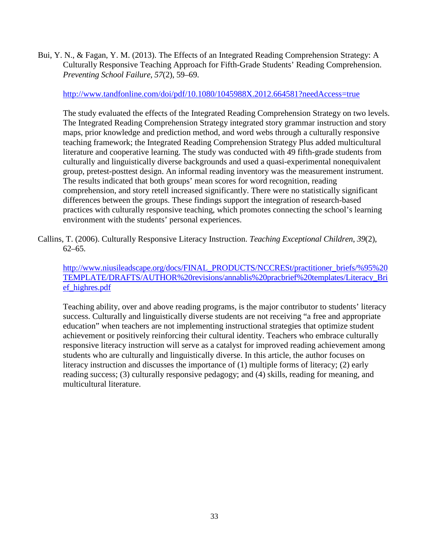Bui, Y. N., & Fagan, Y. M. (2013). The Effects of an Integrated Reading Comprehension Strategy: A Culturally Responsive Teaching Approach for Fifth-Grade Students' Reading Comprehension. *Preventing School Failure*, *57*(2), 59–69.

<http://www.tandfonline.com/doi/pdf/10.1080/1045988X.2012.664581?needAccess=true>

The study evaluated the effects of the Integrated Reading Comprehension Strategy on two levels. The Integrated Reading Comprehension Strategy integrated story grammar instruction and story maps, prior knowledge and prediction method, and word webs through a culturally responsive teaching framework; the Integrated Reading Comprehension Strategy Plus added multicultural literature and cooperative learning. The study was conducted with 49 fifth-grade students from culturally and linguistically diverse backgrounds and used a quasi-experimental nonequivalent group, pretest-posttest design. An informal reading inventory was the measurement instrument. The results indicated that both groups' mean scores for word recognition, reading comprehension, and story retell increased significantly. There were no statistically significant differences between the groups. These findings support the integration of research-based practices with culturally responsive teaching, which promotes connecting the school's learning environment with the students' personal experiences.

Callins, T. (2006). Culturally Responsive Literacy Instruction. *Teaching Exceptional Children*, *39*(2), 62–65.

[http://www.niusileadscape.org/docs/FINAL\\_PRODUCTS/NCCRESt/practitioner\\_briefs/%95%20](http://www.niusileadscape.org/docs/FINAL_PRODUCTS/NCCRESt/practitioner_briefs/%95%20TEMPLATE/DRAFTS/AUTHOR%20revisions/annablis%20pracbrief%20templates/Literacy_Brief_highres.pdf) [TEMPLATE/DRAFTS/AUTHOR%20revisions/annablis%20pracbrief%20templates/Literacy\\_Bri](http://www.niusileadscape.org/docs/FINAL_PRODUCTS/NCCRESt/practitioner_briefs/%95%20TEMPLATE/DRAFTS/AUTHOR%20revisions/annablis%20pracbrief%20templates/Literacy_Brief_highres.pdf) [ef\\_highres.pdf](http://www.niusileadscape.org/docs/FINAL_PRODUCTS/NCCRESt/practitioner_briefs/%95%20TEMPLATE/DRAFTS/AUTHOR%20revisions/annablis%20pracbrief%20templates/Literacy_Brief_highres.pdf)

Teaching ability, over and above reading programs, is the major contributor to students' literacy success. Culturally and linguistically diverse students are not receiving "a free and appropriate education" when teachers are not implementing instructional strategies that optimize student achievement or positively reinforcing their cultural identity. Teachers who embrace culturally responsive literacy instruction will serve as a catalyst for improved reading achievement among students who are culturally and linguistically diverse. In this article, the author focuses on literacy instruction and discusses the importance of (1) multiple forms of literacy; (2) early reading success; (3) culturally responsive pedagogy; and (4) skills, reading for meaning, and multicultural literature.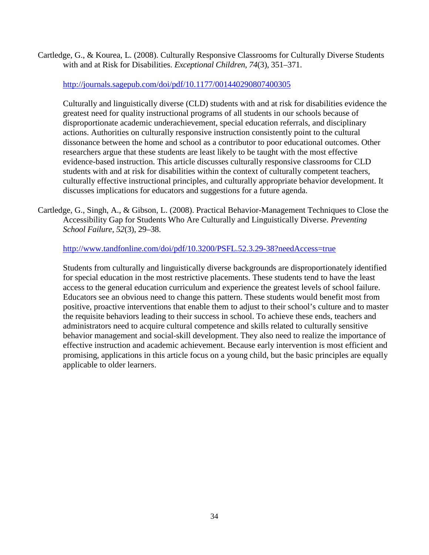Cartledge, G., & Kourea, L. (2008). Culturally Responsive Classrooms for Culturally Diverse Students with and at Risk for Disabilities. *Exceptional Children*, *74*(3), 351–371.

<http://journals.sagepub.com/doi/pdf/10.1177/001440290807400305>

Culturally and linguistically diverse (CLD) students with and at risk for disabilities evidence the greatest need for quality instructional programs of all students in our schools because of disproportionate academic underachievement, special education referrals, and disciplinary actions. Authorities on culturally responsive instruction consistently point to the cultural dissonance between the home and school as a contributor to poor educational outcomes. Other researchers argue that these students are least likely to be taught with the most effective evidence-based instruction. This article discusses culturally responsive classrooms for CLD students with and at risk for disabilities within the context of culturally competent teachers, culturally effective instructional principles, and culturally appropriate behavior development. It discusses implications for educators and suggestions for a future agenda.

Cartledge, G., Singh, A., & Gibson, L. (2008). Practical Behavior-Management Techniques to Close the Accessibility Gap for Students Who Are Culturally and Linguistically Diverse. *Preventing School Failure*, *52*(3), 29–38.

<http://www.tandfonline.com/doi/pdf/10.3200/PSFL.52.3.29-38?needAccess=true>

Students from culturally and linguistically diverse backgrounds are disproportionately identified for special education in the most restrictive placements. These students tend to have the least access to the general education curriculum and experience the greatest levels of school failure. Educators see an obvious need to change this pattern. These students would benefit most from positive, proactive interventions that enable them to adjust to their school's culture and to master the requisite behaviors leading to their success in school. To achieve these ends, teachers and administrators need to acquire cultural competence and skills related to culturally sensitive behavior management and social-skill development. They also need to realize the importance of effective instruction and academic achievement. Because early intervention is most efficient and promising, applications in this article focus on a young child, but the basic principles are equally applicable to older learners.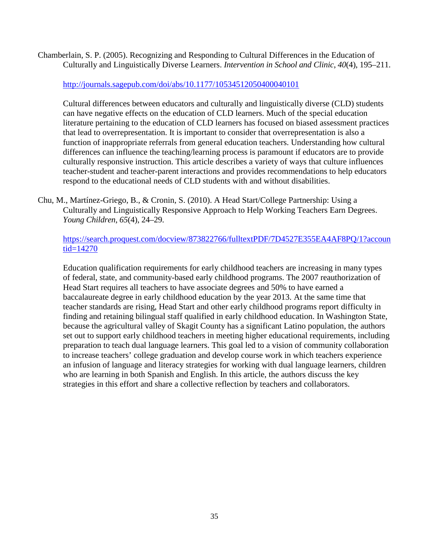Chamberlain, S. P. (2005). Recognizing and Responding to Cultural Differences in the Education of Culturally and Linguistically Diverse Learners. *Intervention in School and Clinic*, *40*(4), 195–211.

<http://journals.sagepub.com/doi/abs/10.1177/10534512050400040101>

Cultural differences between educators and culturally and linguistically diverse (CLD) students can have negative effects on the education of CLD learners. Much of the special education literature pertaining to the education of CLD learners has focused on biased assessment practices that lead to overrepresentation. It is important to consider that overrepresentation is also a function of inappropriate referrals from general education teachers. Understanding how cultural differences can influence the teaching/learning process is paramount if educators are to provide culturally responsive instruction. This article describes a variety of ways that culture influences teacher-student and teacher-parent interactions and provides recommendations to help educators respond to the educational needs of CLD students with and without disabilities.

Chu, M., Martínez-Griego, B., & Cronin, S. (2010). A Head Start/College Partnership: Using a Culturally and Linguistically Responsive Approach to Help Working Teachers Earn Degrees. *Young Children*, *65*(4), 24–29.

[https://search.proquest.com/docview/873822766/fulltextPDF/7D4527E355EA4AF8PQ/1?accoun](https://search.proquest.com/docview/873822766/fulltextPDF/7D4527E355EA4AF8PQ/1?accountid=14270) [tid=14270](https://search.proquest.com/docview/873822766/fulltextPDF/7D4527E355EA4AF8PQ/1?accountid=14270)

Education qualification requirements for early childhood teachers are increasing in many types of federal, state, and community-based early childhood programs. The 2007 reauthorization of Head Start requires all teachers to have associate degrees and 50% to have earned a baccalaureate degree in early childhood education by the year 2013. At the same time that teacher standards are rising, Head Start and other early childhood programs report difficulty in finding and retaining bilingual staff qualified in early childhood education. In Washington State, because the agricultural valley of Skagit County has a significant Latino population, the authors set out to support early childhood teachers in meeting higher educational requirements, including preparation to teach dual language learners. This goal led to a vision of community collaboration to increase teachers' college graduation and develop course work in which teachers experience an infusion of language and literacy strategies for working with dual language learners, children who are learning in both Spanish and English. In this article, the authors discuss the key strategies in this effort and share a collective reflection by teachers and collaborators.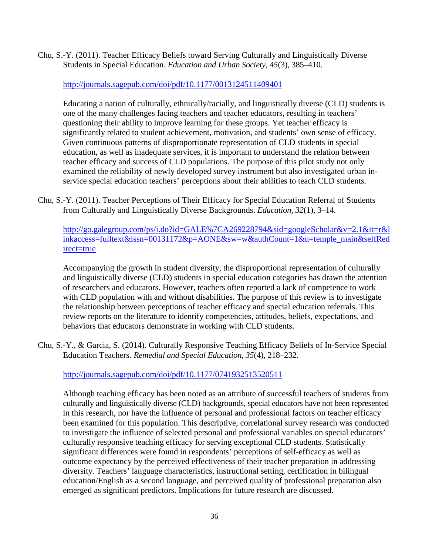Chu, S.-Y. (2011). Teacher Efficacy Beliefs toward Serving Culturally and Linguistically Diverse Students in Special Education. *Education and Urban Society*, *45*(3), 385–410.

<http://journals.sagepub.com/doi/pdf/10.1177/0013124511409401>

Educating a nation of culturally, ethnically/racially, and linguistically diverse (CLD) students is one of the many challenges facing teachers and teacher educators, resulting in teachers' questioning their ability to improve learning for these groups. Yet teacher efficacy is significantly related to student achievement, motivation, and students' own sense of efficacy. Given continuous patterns of disproportionate representation of CLD students in special education, as well as inadequate services, it is important to understand the relation between teacher efficacy and success of CLD populations. The purpose of this pilot study not only examined the reliability of newly developed survey instrument but also investigated urban inservice special education teachers' perceptions about their abilities to teach CLD students.

Chu, S.-Y. (2011). Teacher Perceptions of Their Efficacy for Special Education Referral of Students from Culturally and Linguistically Diverse Backgrounds. *Education*, *32*(1), 3–14.

[http://go.galegroup.com/ps/i.do?id=GALE%7CA269228794&sid=googleScholar&v=2.1&it=r&l](http://go.galegroup.com/ps/i.do?id=GALE%7CA269228794&sid=googleScholar&v=2.1&it=r&linkaccess=fulltext&issn=00131172&p=AONE&sw=w&authCount=1&u=temple_main&selfRedirect=true) [inkaccess=fulltext&issn=00131172&p=AONE&sw=w&authCount=1&u=temple\\_main&selfRed](http://go.galegroup.com/ps/i.do?id=GALE%7CA269228794&sid=googleScholar&v=2.1&it=r&linkaccess=fulltext&issn=00131172&p=AONE&sw=w&authCount=1&u=temple_main&selfRedirect=true) [irect=true](http://go.galegroup.com/ps/i.do?id=GALE%7CA269228794&sid=googleScholar&v=2.1&it=r&linkaccess=fulltext&issn=00131172&p=AONE&sw=w&authCount=1&u=temple_main&selfRedirect=true)

Accompanying the growth in student diversity, the disproportional representation of culturally and linguistically diverse (CLD) students in special education categories has drawn the attention of researchers and educators. However, teachers often reported a lack of competence to work with CLD population with and without disabilities. The purpose of this review is to investigate the relationship between perceptions of teacher efficacy and special education referrals. This review reports on the literature to identify competencies, attitudes, beliefs, expectations, and behaviors that educators demonstrate in working with CLD students.

Chu, S.-Y., & Garcia, S. (2014). Culturally Responsive Teaching Efficacy Beliefs of In-Service Special Education Teachers. *Remedial and Special Education*, *35*(4), 218–232.

<http://journals.sagepub.com/doi/pdf/10.1177/0741932513520511>

Although teaching efficacy has been noted as an attribute of successful teachers of students from culturally and linguistically diverse (CLD) backgrounds, special educators have not been represented in this research, nor have the influence of personal and professional factors on teacher efficacy been examined for this population. This descriptive, correlational survey research was conducted to investigate the influence of selected personal and professional variables on special educators' culturally responsive teaching efficacy for serving exceptional CLD students. Statistically significant differences were found in respondents' perceptions of self-efficacy as well as outcome expectancy by the perceived effectiveness of their teacher preparation in addressing diversity. Teachers' language characteristics, instructional setting, certification in bilingual education/English as a second language, and perceived quality of professional preparation also emerged as significant predictors. Implications for future research are discussed.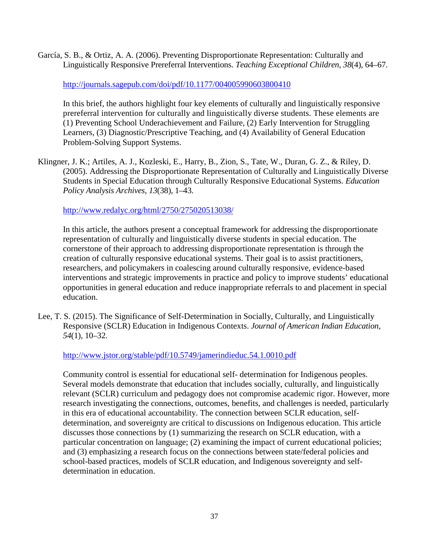García, S. B., & Ortiz, A. A. (2006). Preventing Disproportionate Representation: Culturally and Linguistically Responsive Prereferral Interventions. *Teaching Exceptional Children*, *38*(4), 64–67.

<http://journals.sagepub.com/doi/pdf/10.1177/004005990603800410>

In this brief, the authors highlight four key elements of culturally and linguistically responsive prereferral intervention for culturally and linguistically diverse students. These elements are (1) Preventing School Underachievement and Failure, (2) Early Intervention for Struggling Learners, (3) Diagnostic/Prescriptive Teaching, and (4) Availability of General Education Problem-Solving Support Systems.

Klingner, J. K.; Artiles, A. J., Kozleski, E., Harry, B., Zion, S., Tate, W., Duran, G. Z., & Riley, D. (2005). Addressing the Disproportionate Representation of Culturally and Linguistically Diverse Students in Special Education through Culturally Responsive Educational Systems. *Education Policy Analysis Archives*, *13*(38), 1–43.

<http://www.redalyc.org/html/2750/275020513038/>

In this article, the authors present a conceptual framework for addressing the disproportionate representation of culturally and linguistically diverse students in special education. The cornerstone of their approach to addressing disproportionate representation is through the creation of culturally responsive educational systems. Their goal is to assist practitioners, researchers, and policymakers in coalescing around culturally responsive, evidence-based interventions and strategic improvements in practice and policy to improve students' educational opportunities in general education and reduce inappropriate referrals to and placement in special education.

Lee, T. S. (2015). The Significance of Self-Determination in Socially, Culturally, and Linguistically Responsive (SCLR) Education in Indigenous Contexts. *Journal of American Indian Education, 54*(1), 10–32.

<http://www.jstor.org/stable/pdf/10.5749/jamerindieduc.54.1.0010.pdf>

Community control is essential for educational self- determination for Indigenous peoples. Several models demonstrate that education that includes socially, culturally, and linguistically relevant (SCLR) curriculum and pedagogy does not compromise academic rigor. However, more research investigating the connections, outcomes, benefits, and challenges is needed, particularly in this era of educational accountability. The connection between SCLR education, selfdetermination, and sovereignty are critical to discussions on Indigenous education. This article discusses those connections by (1) summarizing the research on SCLR education, with a particular concentration on language; (2) examining the impact of current educational policies; and (3) emphasizing a research focus on the connections between state/federal policies and school-based practices, models of SCLR education, and Indigenous sovereignty and selfdetermination in education.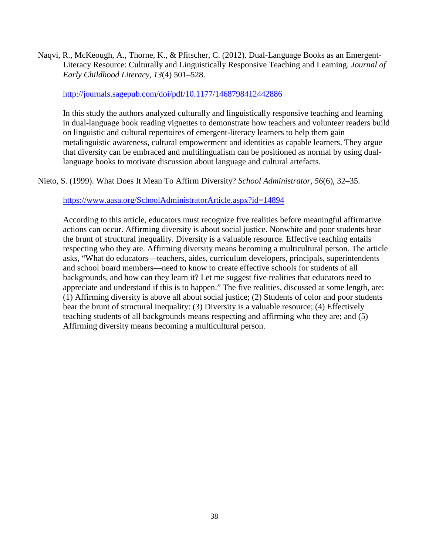Naqvi, R., McKeough, A., Thorne, K., & Pfitscher, C. (2012). Dual-Language Books as an Emergent-Literacy Resource: Culturally and Linguistically Responsive Teaching and Learning. *Journal of Early Childhood Literacy*, *13*(4) 501–528.

### <http://journals.sagepub.com/doi/pdf/10.1177/1468798412442886>

In this study the authors analyzed culturally and linguistically responsive teaching and learning in dual-language book reading vignettes to demonstrate how teachers and volunteer readers build on linguistic and cultural repertoires of emergent-literacy learners to help them gain metalinguistic awareness, cultural empowerment and identities as capable learners. They argue that diversity can be embraced and multilingualism can be positioned as normal by using duallanguage books to motivate discussion about language and cultural artefacts.

Nieto, S. (1999). What Does It Mean To Affirm Diversity? *School Administrator*, *56*(6), 32–35.

<https://www.aasa.org/SchoolAdministratorArticle.aspx?id=14894>

According to this article, educators must recognize five realities before meaningful affirmative actions can occur. Affirming diversity is about social justice. Nonwhite and poor students bear the brunt of structural inequality. Diversity is a valuable resource. Effective teaching entails respecting who they are. Affirming diversity means becoming a multicultural person. The article asks, "What do educators—teachers, aides, curriculum developers, principals, superintendents and school board members—need to know to create effective schools for students of all backgrounds, and how can they learn it? Let me suggest five realities that educators need to appreciate and understand if this is to happen." The five realities, discussed at some length, are: (1) Affirming diversity is above all about social justice; (2) Students of color and poor students bear the brunt of structural inequality: (3) Diversity is a valuable resource; (4) Effectively teaching students of all backgrounds means respecting and affirming who they are; and (5) Affirming diversity means becoming a multicultural person.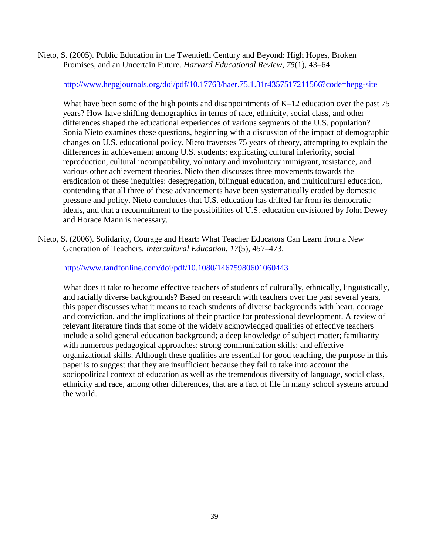Nieto, S. (2005). Public Education in the Twentieth Century and Beyond: High Hopes, Broken Promises, and an Uncertain Future. *Harvard Educational Review*, *75*(1), 43–64.

<http://www.hepgjournals.org/doi/pdf/10.17763/haer.75.1.31r4357517211566?code=hepg-site>

What have been some of the high points and disappointments of K–12 education over the past 75 years? How have shifting demographics in terms of race, ethnicity, social class, and other differences shaped the educational experiences of various segments of the U.S. population? Sonia Nieto examines these questions, beginning with a discussion of the impact of demographic changes on U.S. educational policy. Nieto traverses 75 years of theory, attempting to explain the differences in achievement among U.S. students; explicating cultural inferiority, social reproduction, cultural incompatibility, voluntary and involuntary immigrant, resistance, and various other achievement theories. Nieto then discusses three movements towards the eradication of these inequities: desegregation, bilingual education, and multicultural education, contending that all three of these advancements have been systematically eroded by domestic pressure and policy. Nieto concludes that U.S. education has drifted far from its democratic ideals, and that a recommitment to the possibilities of U.S. education envisioned by John Dewey and Horace Mann is necessary.

Nieto, S. (2006). Solidarity, Courage and Heart: What Teacher Educators Can Learn from a New Generation of Teachers. *Intercultural Education*, *17*(5), 457–473.

<http://www.tandfonline.com/doi/pdf/10.1080/14675980601060443>

What does it take to become effective teachers of students of culturally, ethnically, linguistically, and racially diverse backgrounds? Based on research with teachers over the past several years, this paper discusses what it means to teach students of diverse backgrounds with heart, courage and conviction, and the implications of their practice for professional development. A review of relevant literature finds that some of the widely acknowledged qualities of effective teachers include a solid general education background; a deep knowledge of subject matter; familiarity with numerous pedagogical approaches; strong communication skills; and effective organizational skills. Although these qualities are essential for good teaching, the purpose in this paper is to suggest that they are insufficient because they fail to take into account the sociopolitical context of education as well as the tremendous diversity of language, social class, ethnicity and race, among other differences, that are a fact of life in many school systems around the world.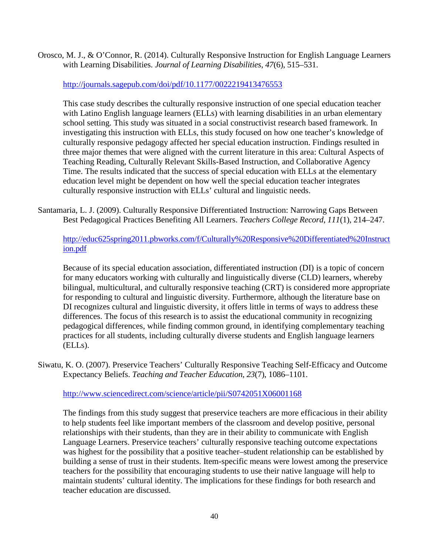Orosco, M. J., & O'Connor, R. (2014). Culturally Responsive Instruction for English Language Learners with Learning Disabilities. *Journal of Learning Disabilities*, *47*(6), 515–531.

<http://journals.sagepub.com/doi/pdf/10.1177/0022219413476553>

This case study describes the culturally responsive instruction of one special education teacher with Latino English language learners (ELLs) with learning disabilities in an urban elementary school setting. This study was situated in a social constructivist research based framework. In investigating this instruction with ELLs, this study focused on how one teacher's knowledge of culturally responsive pedagogy affected her special education instruction. Findings resulted in three major themes that were aligned with the current literature in this area: Cultural Aspects of Teaching Reading, Culturally Relevant Skills-Based Instruction, and Collaborative Agency Time. The results indicated that the success of special education with ELLs at the elementary education level might be dependent on how well the special education teacher integrates culturally responsive instruction with ELLs' cultural and linguistic needs.

Santamaria, L. J. (2009). Culturally Responsive Differentiated Instruction: Narrowing Gaps Between Best Pedagogical Practices Benefiting All Learners. *Teachers College Record*, *111*(1), 214–247.

[http://educ625spring2011.pbworks.com/f/Culturally%20Responsive%20Differentiated%20Instruct](http://educ625spring2011.pbworks.com/f/Culturally%20Responsive%20Differentiated%20Instruction.pdf) [ion.pdf](http://educ625spring2011.pbworks.com/f/Culturally%20Responsive%20Differentiated%20Instruction.pdf)

Because of its special education association, differentiated instruction (DI) is a topic of concern for many educators working with culturally and linguistically diverse (CLD) learners, whereby bilingual, multicultural, and culturally responsive teaching (CRT) is considered more appropriate for responding to cultural and linguistic diversity. Furthermore, although the literature base on DI recognizes cultural and linguistic diversity, it offers little in terms of ways to address these differences. The focus of this research is to assist the educational community in recognizing pedagogical differences, while finding common ground, in identifying complementary teaching practices for all students, including culturally diverse students and English language learners (ELLs).

Siwatu, K. O. (2007). Preservice Teachers' Culturally Responsive Teaching Self-Efficacy and Outcome Expectancy Beliefs. *Teaching and Teacher Education*, *23*(7), 1086–1101.

<http://www.sciencedirect.com/science/article/pii/S0742051X06001168>

The findings from this study suggest that preservice teachers are more efficacious in their ability to help students feel like important members of the classroom and develop positive, personal relationships with their students, than they are in their ability to communicate with English Language Learners. Preservice teachers' culturally responsive teaching outcome expectations was highest for the possibility that a positive teacher–student relationship can be established by building a sense of trust in their students. Item-specific means were lowest among the preservice teachers for the possibility that encouraging students to use their native language will help to maintain students' cultural identity. The implications for these findings for both research and teacher education are discussed.